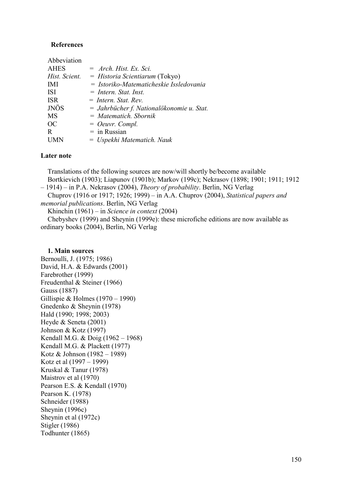## **References**

| Abbeviation   |                                           |
|---------------|-------------------------------------------|
| <b>AHES</b>   | $=$ Arch. Hist. Ex. Sci.                  |
| Hist. Scient. | $=$ Historia Scientiarum (Tokyo)          |
| <b>IMI</b>    | = Istoriko-Matematicheskie Issledovania   |
| <b>ISI</b>    | $=$ Intern. Stat. Inst.                   |
| <b>ISR</b>    | $=$ Intern. Stat. Rev.                    |
| <b>JNÖS</b>   | = Jahrbücher f. Nationalökonomie u. Stat. |
| MS            | $= Matematich.$ Sbornik                   |
| OC.           | $=$ Oeuvr. Compl.                         |
| R             | $=$ in Russian                            |
|               | $=$ Uspekhi Matematich. Nauk              |
|               |                                           |

## **Later note**

Translations of the following sources are now/will shortly be/become available Bortkievich (1903); Liapunov (1901b); Markov (199c); Nekrasov (1898; 1901; 1911; 1912 – 1914) – in P.A. Nekrasov (2004), *Theory of probability*. Berlin, NG Verlag Chuprov (1916 or 1917; 1926; 1999) – in A.A. Chuprov (2004), *Statistical papers and* 

*memorial publications*. Berlin, NG Verlag

Khinchin (1961) – in *Science in context* (2004)

 Chebyshev (1999) and Sheynin (1999e): these microfiche editions are now available as ordinary books (2004), Berlin, NG Verlag

## **1. Main sources**

Bernoulli, J. (1975; 1986) David, H.A. & Edwards (2001) Farebrother (1999) Freudenthal & Steiner (1966) Gauss (1887) Gillispie & Holmes (1970 – 1990) Gnedenko & Sheynin (1978) Hald (1990; 1998; 2003) Heyde & Seneta (2001) Johnson & Kotz (1997) Kendall M.G. & Doig (1962 – 1968) Kendall M.G. & Plackett (1977) Kotz & Johnson (1982 – 1989) Kotz et al (1997 – 1999) Kruskal & Tanur (1978) Maistrov et al (1970) Pearson E.S. & Kendall (1970) Pearson K. (1978) Schneider (1988) Sheynin (1996c) Sheynin et al (1972c) Stigler (1986) Todhunter (1865)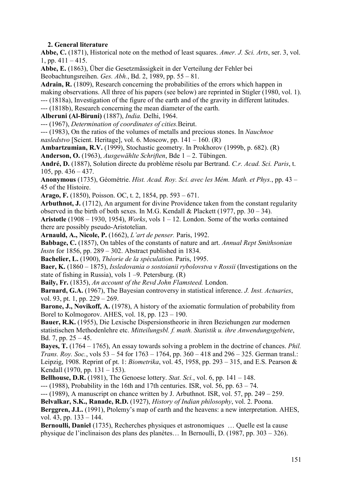## **2. General literature**

**Abbe, C.** (1871), Historical note on the method of least squares. *Amer. J. Sci. Arts*, ser. 3, vol. 1, pp.  $411 - 415$ .

**Abbe, E.** (1863), Über die Gesetzmässigkeit in der Verteilung der Fehler bei Beobachtungsreihen. *Ges. Abh.*, Bd. 2, 1989, pp. 55 – 81.

**Adrain, R.** (1809), Research concerning the probabilities of the errors which happen in making observations. All three of his papers (see below) are reprinted in Stigler (1980, vol. 1). --- (1818a), Investigation of the figure of the earth and of the gravity in different latitudes.

--- (1818b), Research concerning the mean diameter of the earth.

**Alberuni (Al-Biruni)** (1887), *India.* Delhi, 1964.

--- (1967), *Determination of coordinates of cities.*Beirut.

--- (1983), On the ratios of the volumes of metalls and precious stones. In *Nauchnoe* 

*nasledstvo* [Scient. Heritage], vol. 6. Moscow, pp. 141 – 160. (R)

**Ambartzumian, R.V.** (1999), Stochastic geometry. In Prokhorov (1999b, p. 682). (R)

**Anderson, O.** (1963), *Ausgewählte Schriften*, Bde 1 – 2. Tübingen.

**André, D.** (1887), Solution directe du problème résolu par Bertrand. *C.r. Acad. Sci. Paris*, t. 105, pp.  $436 - 437$ .

**Anonymous** (1735), Géométrie. *Hist. Acad. Roy. Sci. avec les Mém. Math. et Phys.*, pp. 43 – 45 of the Histoire.

**Arago, F.** (1850), Poisson. OC, t. 2, 1854, pp. 593 – 671.

**Arbuthnot, J.** (1712), An argument for divine Providence taken from the constant regularity observed in the birth of both sexes. In M.G. Kendall & Plackett (1977, pp.  $30 - 34$ ).

**Aristotle** (1908 – 1930, 1954), *Works*, vols 1 – 12. London. Some of the works contained there are possibly pseudo-Aristotelian.

**Arnauld, A., Nicole, P.** (1662), *L'art de penser.* Paris, 1992.

**Babbage, C.** (1857), On tables of the constants of nature and art. *Annual Rept Smithsonian Instn* for 1856, pp. 289 – 302. Abstract published in 1834.

**Bachelier, L.** (1900), *Théorie de la spéculation.* Paris, 1995.

**Baer, K.** (1860 – 1875), *Issledovania o sostoianii rybolovstva v Rossii* (Investigations on the state of fishing in Russia), vols  $1 - 9$ . Petersburg. (R)

**Baily, Fr.** (1835), *An account of the Revd John Flamsteed.* London.

**Barnard, G.A.** (1967), The Bayesian controversy in statistical inference. *J. Inst. Actuaries*, vol. 93, pt. 1, pp. 229 – 269.

**Barone, J., Novikoff, A.** (1978), A history of the axiomatic formulation of probability from Borel to Kolmogorov. AHES, vol. 18, pp. 123 – 190.

**Bauer, R.K.** (1955), Die Lexische Dispersionstheorie in ihren Beziehungen zur modernen statistischen Methodenlehre etc. *Mitteilungsbl. f. math. Statistik u. ihre Anwendungsgebiete*, Bd. 7, pp.  $25 - 45$ .

**Bayes, T.** (1764 – 1765), An essay towards solving a problem in the doctrine of chances. *Phil. Trans. Roy. Soc.*, vols 53 – 54 for 1763 – 1764, pp. 360 – 418 and 296 – 325. German transl.: Leipzig, 1908. Reprint of pt. 1: *Biometrika*, vol. 45, 1958, pp. 293 – 315, and E.S. Pearson & Kendall (1970, pp. 131 – 153).

**Bellhouse, D.R.** (1981), The Genoese lottery. *Stat. Sci.*, vol. 6, pp. 141 – 148.

 $-$ -- $(1988)$ , Probability in the 16th and 17th centuries. ISR, vol. 56, pp. 63 – 74.

 $-1$  (1989). A manuscript on chance written by J. Arbuthnot. ISR, vol. 57, pp. 249 – 259.

**Belvalkar, S.K., Ranade, R.D.** (1927), *History of Indian philosophy*, vol. 2. Poona.

**Berggren, J.L.** (1991), Ptolemy's map of earth and the heavens: a new interpretation. AHES, vol. 43, pp. 133 – 144.

**Bernoulli, Daniel** (1735), Recherches physiques et astronomiques … Quelle est la cause physique de l'inclinaison des plans des planètes… In Bernoulli, D. (1987, pp. 303 – 326).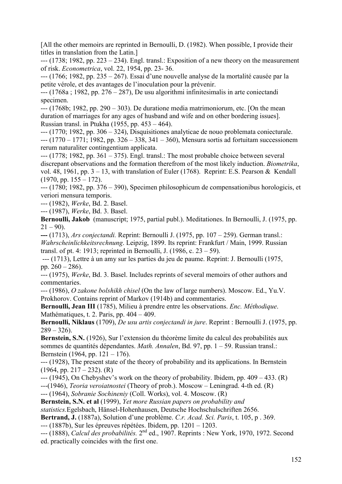[All the other memoirs are reprinted in Bernoulli, D. (1982). When possible, I provide their titles in translation from the Latin.]

 $-$ -- $(1738; 1982, pp. 223 – 234)$ . Engl. transl.: Exposition of a new theory on the measurement of risk. *Econometrica*, vol. 22, 1954, pp. 23- 36.

--- (1766; 1982, pp. 235 – 267). Essai d'une nouvelle analyse de la mortalité causée par la petite vérole, et des avantages de l'inoculation pour la prévenir.

 $-$ -- $(1768a)$ ; 1982, pp. 276 – 287). De usu algorithmi infinitesimalis in arte coniectandi specimen.

 $-1$  (1768b; 1982, pp. 290 – 303). De duratione media matrimoniorum, etc. [On the mean duration of marriages for any ages of husband and wife and on other bordering issues]. Russian transl. in Ptukha (1955, pp. 453 – 464).

--- (1770; 1982, pp. 306 – 324), Disquisitiones analyticae de nouo problemata coniecturale. --- (1770 – 1771; 1982, pp. 326 – 338, 341 – 360), Mensura sortis ad fortuitam successionem rerum naturaliter contingentium applicata.

 $--$  (1778; 1982, pp. 361 – 375). Engl. transl.: The most probable choice between several discrepant observations and the formation therefrom of the most likely induction. *Biometrika*, vol. 48, 1961, pp.  $3 - 13$ , with translation of Euler (1768). Reprint: E.S. Pearson & Kendall  $(1970, \text{pp. } 155 - 172)$ .

--- (1780; 1982, pp. 376 – 390), Specimen philosophicum de compensationibus horologicis, et veriori mensura temporis.

--- (1982), *Werke*, Bd. 2. Basel.

--- (1987), *Werke*, Bd. 3. Basel.

**Bernoulli, Jakob** (manuscript; 1975, partial publ.). Meditationes. In Bernoulli, J. (1975, pp.  $21 - 90$ ).

**---** (1713), *Ars conjectandi.* Reprint: Bernoulli J. (1975, pp. 107 – 259). German transl.: *Wahrscheinlichkeitsrechnung*. Leipzig, 1899. Its reprint: Frankfurt / Main, 1999. Russian transl. of pt. 4: 1913; reprinted in Bernoulli, J. (1986, с. 23 – 59).

--- (1713), Lettre à un amy sur les parties du jeu de paume. Reprint: J. Bernoulli (1975, pp. 260 – 286).

--- (1975), *Werke*, Bd. 3. Basel. Includes reprints of several memoirs of other authors and commentaries.

--- (1986), *O zakone bolshikh chisel* (On the law of large numbers). Moscow. Ed., Yu.V. Prokhorov. Contains reprint of Markov (1914b) and commentaries.

**Bernoulli, Jean III** (1785), Milieu à prendre entre les observations. *Enc. Méthodique*. Mathématiques, t. 2. Paris, pp. 404 – 409.

**Bernoulli, Niklaus** (1709), *De usu artis conjectandi in jure*. Reprint : Bernoulli J. (1975, pp.  $289 - 326$ ).

**Bernstein, S.N.** (1926), Sur l'extension du théorème limite du calcul des probabilités aux sommes de quantités dépendantes. *Math. Annalen*, Bd. 97, pp. 1 – 59. Russian transl.: Bernstein (1964, pp. 121 – 176).

--- (1928), The present state of the theory of probability and its applications. In Bernstein  $(1964, \text{pp}, 217 - 232)$ . (R)

 $-(-1945)$ , On Chebyshev's work on the theory of probability. Ibidem, pp.  $409 - 433$ . (R)

---(1946), *Teoria veroiatnostei* (Theory of prob.). Moscow – Leningrad. 4-th ed. (R)

--- (1964), *Sobranie Sochineniy* (Coll. Works), vol. 4. Moscow. (R)

**Bernstein, S.N. et al** (1999), *Yet more Russian papers on probability and* 

*statistics.*Egelsbach, Hänsel-Hohenhausen, Deutsche Hochschulschriften 2656.

**Bertrand, J.** (1887a), Solution d'une problème. *C.r. Acad. Sci. Paris*, t. 105, p . 369.

--- (1887b), Sur les épreuves répétées. Ibidem, pp. 1201 – 1203.

--- (1888), *Calcul des probabilités.* 2nd ed., 1907. Reprints : New York, 1970, 1972. Second ed. practically coincides with the first one.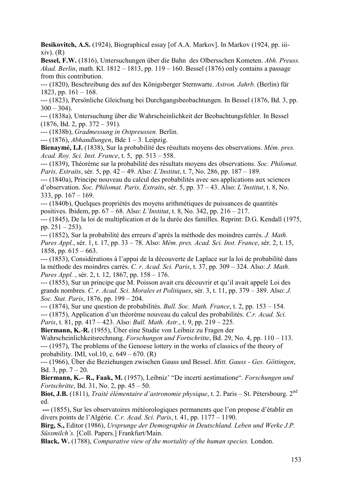**Besikovitch, A.S.** (1924), Biographical essay [of A.A. Markov]. In Markov (1924, pp. iii $xiv)$ .  $(R)$ 

**Bessel, F.W.** (1816), Untersuchungen über die Bahn des Olbersschen Kometen. *Abh. Preuss. Akad. Berlin*, math. Kl. 1812 – 1813, pp. 119 – 160. Bessel (1876) only contains a passage from this contribution.

--- (1820), Beschreibung des auf des Königsberger Sternwarte. *Astron. Jahrb.* (Berlin) für 1823, pp.  $161 - 168$ .

--- (1823), Persönliche Gleichung bei Durchgangsbeobachtungen. In Bessel (1876, Bd. 3, pp.  $300 - 304$ ).

--- (1838а), Untersuchung über die Wahrscheinlichkeit der Beobachtungsfehler. In Bessel  $(1876, Bd, 2, pp, 372 - 391)$ .

--- (1838b), *Gradmessung in Ostpreussen.* Berlin.

--- (1876), *Abhandlungen*, Bde 1 – 3. Leipzig.

**Bienaymé, I.J.** (1838), Sur la probabilité des résultats moyens des observations. *Mém. рres. Acad. Roy. Sci. Inst. France*, t. 5, pp. 513 – 558.

--- (1839), Théorème sur la probabilité des résultats moyens des observations. *Soc. Philomat. Paris, Extraits*, sér. 5, pp. 42 – 49. Also: *L'Institut*, t. 7, No. 286, pp. 187 – 189.

--- (1840a), Principe nouveau du calcul des probabilités avec ses applications aux sciences d'observation. *Soc. Philomat. Paris, Extraits*, sér. 5, pp. 37 – 43. Also: *L'Institut*, t. 8, No. 333, pp.  $167 - 169$ .

--- (1840b), Quelques propriétés des moyens arithmétiques de puissances de quantités positives. Ibidem, pp. 67 – 68. Also: *L'Institut*, t. 8, No. 342, pp. 216 – 217.

--- (1845), De la loi de multiplication et de la durée des familles. Reprint: D.G. Kendall (1975, pp.  $251 - 253$ ).

--- (1852), Sur la probabilité des erreurs d'après la méthode des moindres carrés. *J. Math. Pures Appl.*, sér. 1, t. 17, pp. 33 – 78. Also: *Mém. рres. Acad. Sci. Inst. France*, sér. 2, t. 15, 1858, pp.  $615 - 663$ .

--- (1853), Considérations à l'appui de la découverte de Laplace sur la loi de probabilité dans la méthode des moindres carrés. *C. r. Acad. Sci. Paris*, t. 37, pp. 309 – 324. Also: *J. Math. Pures Appl.* , sér. 2, t. 12, 1867, pp. 158 – 176.

--- (1855), Sur un principe que M. Poisson avait cru découvrir et qu'il avait appelé Loi des grands nombres. *C. r. Acad. Sci. Morales et Politiques*, sér. 3, t. 11, pp. 379 – 389. Also: *J. Soc. Stat. Paris*, 1876, pp. 199 – 204.

--- (1874), Sur une question de probabilités. *Bull. Soc. Math. France*, t. 2, pp. 153 – 154. --- (1875), Application d'un théorème nouveau du calcul des probabilités. *C.r. Acad. Sci. Paris*, t. 81, pp. 417 – 423. Also: *Bull. Math. Astr.*, t. 9, pp. 219 – 225.

**Biermann, K.**-**R.** (1955), Über eine Studie von Leibniz zu Fragen der

Wahrscheinlichkeitsrechnung. *Forschungen und Fortschritte*, Bd. 29, No. 4, pp. 110 – 113. --- (1957), The problems of the Genoese lottery in the works of classics of the theory of probability. IMI, vol.10, c.  $649 - 670$ . (R)

--- (1966), Über die Beziehungen zwischen Gauss und Bessel. *Mitt. Gauss - Ges. Göttingen*, Bd. 3, pp.  $7 - 20$ .

**Biermann, K.– R., Faak, M.** (1957), Leibniz' "De incerti aestimatione". *Forschungen und Fortschritte*, Bd. 31, No. 2, pp. 45 – 50.

**Biot, J.B.** (1811), *Traité élémentaire d'astronomie physique*, t. 2. Paris – St. Pétersbourg. 2nd ed.

 **---** (1855), Sur les observatoires météorologiques permanents que l'on propose d'établir en divers points de l'Algérie. *C.r. Acad. Sci. Paris*, t. 41, pp. 1177 – 1190.

**Birg, S.,** Editor (1986), *Ursprunge der Demographie in Deutschland. Leben und Werke J.P. Süssmilch's.* [Coll. Papers.] Frankfurt/Main.

**Black, W.** (1788), *Comparative view of the mortality of the human species.* London.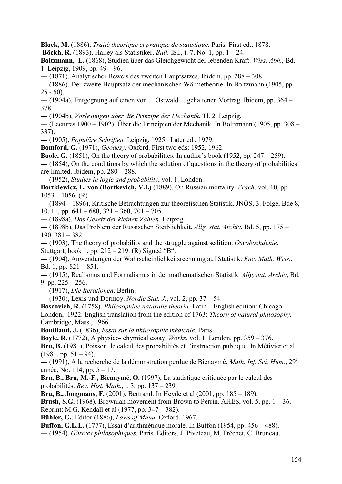**Block, M.** (1886), *Traité théorique et pratique de statistique.* Paris. First ed., 1878.

**Böckh, R.** (1893), Halley als Statistiker. *Bull.* ISI*.*, t. 7, No. 1, pp. 1 – 24.

**Boltzmann, L.** (1868), Studien über das Gleichgewicht der lebenden Kraft. *Wiss. Abh.*, Bd. 1. Leipzig, 1909, pp. 49 – 96.

--- (1871), Analytischer Beweis des zweiten Hauptsatzes. Ibidem, pp. 288 – 308.

--- (1886), Der zweite Hauptsatz der mechanischen Wärmetheorie. In Boltzmann (1905, pp.  $25 - 50$ .

--- (1904a), Entgegnung auf einen von ... Ostwald ... gehaltenen Vortrag. Ibidem, pp. 364 – 378.

--- (1904b), *Vorlesungen über die Prinzipe der Mechanik*, Tl. 2. Leipzig.

--- (Lectures 1900 – 1902), Über die Principien der Mechanik. In Boltzmann (1905, pp. 308 – 337).

--- (1905), *Populäre Schriften.* Leipzig, 1925. Later ed., 1979.

**Bomford, G.** (1971), *Geodesy.* Oxford. First two eds: 1952, 1962.

**Boole, G.** (1851), On the theory of probabilities. In author's book (1952, pp. 247 – 259).

--- (1854), On the conditions by which the solution of questions in the theory of probabilities are limited. Ibidem, pp. 280 – 288.

--- (1952), *Studies in logic and probability*, vol. 1. London.

**Bortkiewicz, L. von (Bortkevich, V.I.)** (1889), On Russian mortality. *Vrach*, vol. 10, pp.  $1053 - 1056$ . (R)

--- (1894 – 1896), Kritische Betrachtungen zur theoretischen Statistik. JNÖS, 3. Folge, Bde 8, 10, 11, pp.  $641 - 680$ ,  $321 - 360$ ,  $701 - 705$ .

--- (1898a), *Das Gesetz der kleinen Zahlen.* Leipzig.

--- (1898b), Das Problem der Russischen Sterblichkeit. *Allg. stat. Archiv*, Bd. 5, pp. 175 – 190, 381 – 382.

--- (1903), The theory of probability and the struggle against sedition. *Osvobozhdenie*. Stuttgart, book 1, pp. 212 – 219. (R) Signed "B".

--- (1904), Anwendungen der Wahrscheinlichkeitsrechnung auf Statistik. *Enc. Math. Wiss.*, Bd. 1, pp. 821 – 851.

--- (1915), Realismus und Formalismus in der mathematischen Statistik. *Allg.stat. Archiv*, Bd. 9, pp.  $225 - 256$ .

--- (1917), *Die Iterationen*. Berlin.

--- (1930), Lexis und Dormoy. *Nordic Stat. J.*, vol. 2, pp. 37 – 54.

**Boscovich, R.** (1758). *Philosophiae naturalis theoria.* Latin – English edition: Chicago – London, 1922. English translation from the edition of 1763: *Theory of natural philosophy.* Cambridge, Mass., 1966.

**Bouillaud, J.** (1836), *Essai sur la philosophie médicale.* Paris.

**Boyle, R.** (1772), A physico- chymical essay. *Works*, vol. 1. London, pp. 359 – 376.

**Bru, B.** (1981), Poisson, le calcul des probabilités et l'instruction publique. In Métivier et al  $(1981, pp. 51 - 94)$ .

--- (1991), A la recherche de la démonstration perdue de Bienaymé. *Math. Inf. Sci. Hum.*, 29e année, No. 114, pp. 5 – 17.

**Bru, B., Bru, M.-F., Bienaymé, O.** (1997), La statistique critiquée par le calcul des probabilités. *Rev. Hist. Math.*, t. 3, pp. 137 – 239.

**Bru, B., Jongmans, F.** (2001), Bertrand. In Heyde et al (2001, pp. 185 – 189).

**Brush, S.G.**  $(1968)$ , Brownian movement from Brown to Perrin. AHES, vol. 5, pp.  $1 - 36$ . Reprint: M.G. Kendall et al (1977, pp. 347 – 382).

**Bühler, G.**, Editor (1886), *Laws of Manu*. Oxford, 1967.

**Buffon, G.L.L.** (1777), Essai d'arithmétique morale. In Buffon (1954, pp. 456 – 488).

--- (1954), *Œuvres philosophiques.* Paris. Editors, J. Piveteau, M. Fréchet, C. Bruneau.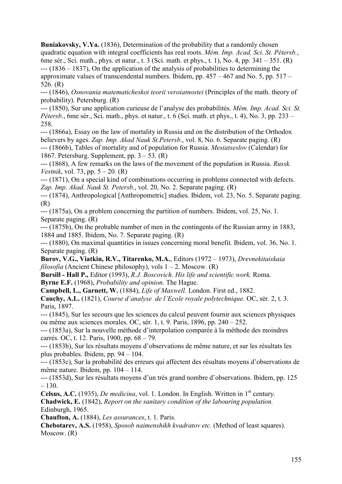**Buniakovsky, V.Ya.** (1836), Determination of the probability that a randomly chosen quadratic equation with integral coefficients has real roots. *Mém. Imp. Acad. Sci. St. Pétersb.*, 6me sér., Sci. math., phys. et natur., t. 3 (Sci. math. et phys., t. 1), No. 4, pp. 341 – 351. (R) --- (1836 – 1837), On the application of the analysis of probabilities to determining the approximate values of transcendental numbers. Ibidem, pp.  $457 - 467$  and No. 5, pp.  $517 -$ 526. (R)

--- (1846), *Osnovania matematicheskoi teorii veroiatnostei* (Principles of the math. theory of probability). Petersburg. (R)

--- (1850), Sur une application curieuse de l'analyse des probabilités. *Mém. Imp. Acad. Sci. St. Pétersb.*, 6me sér., Sci. math., phys. et natur., t. 6 (Sci. math. et phys., t. 4), No. 3, pp. 233 – 258.

--- (1866a), Essay on the law of mortality in Russia and on the distribution of the Orthodox believers by ages. *Zap. Imp. Akad Nauk St.Petersb.*, vol. 8, No. 6. Separate paging. (R) --- (1866b), Tables of mortality and of population for Russia. *Mesiatseslov* (Calendar) for 1867. Petersburg. Supplement, pp.  $3 - 53$ . (R)

--- (1868), A few remarks on the laws of the movement of the population in Russia. *Russk. Vestnik*, vol. 73, pp. 5 – 20. (R)

--- (1871), On a special kind of combinations occurring in problems connected with defects. *Zap. Imp. Akad. Nauk St. Petersb.*, vol. 20, No. 2. Separate paging. (R)

--- (1874), Anthropological [Anthropometric] studies. Ibidem, vol. 23, No. 5. Separate paging. (R)

--- (1875a), On a problem concerning the partition of numbers. Ibidem, vol. 25, No. 1. Separate paging. (R)

--- (1875b), On the probable number of men in the contingents of the Russian army in 1883, 1884 and 1885. Ibidem, No. 7. Separate paging. (R)

--- (1880), On maximal quantities in issues concerning moral benefit. Ibidem, vol. 36, No. 1. Separate paging. (R)

**Burov, V.G., Viatkin, R.V., Titarenko, M.A.**, Editors (1972 – 1973), *Drevnekitaiskaia filosofia* (Ancient Chinese philosophy), vols 1 – 2. Moscow. (R)

**Bursill - Hall P.,** Еditor (1993), *R.J. Boscovich. His life and scientific work.* Roma. **Byrne E.F.** (1968), *Probability and opinion.* The Hague.

**Campbell, L., Garnett, W.** (1884), *Life of Maxwell.* London. First ed., 1882.

**Сauchy, A.L.** (1821), *Course d'analyse de l'Ecole royale polytechnique.* OC, sér. 2, t. 3. Paris, 1897.

--- (1845), Sur les secours que les sciences du calcul peuvent fournir aux sciences physiques ou même aux sciences morales. OC, sér. 1, t. 9. Paris, 1896, pp. 240 – 252.

--- (1853a), Sur la nouvelle méthode d'interpolation comparée à la méthode des moindres carrés. OC, t. 12. Paris, 1900, pp. 68 – 79.

--- (1853b), Sur les résultats moyens d'observations de même nature, et sur les résultats les plus probables. Ibidem, pp. 94 – 104.

--- (1853c), Sur la probabilité des erreurs qui affectent des résultats moyens d'observations de même nature. Ibidem, pp. 104 – 114.

--- (1853d), Sur les résultats moyens d'un très grand nombre d'observations. Ibidem, pp. 125 – 130.

**Celsus, A.C.** (1935), *De medicina*, vol. 1. London. In English. Written in 1st century. **Chadwick, E.** (1842), *Report on the sanitary condition of the labouring population.* Edinburgh, 1965.

**Chaufton, A.** (1884), *Les assurances*, t. 1. Paris.

**Chebotarev, A.S.** (1958), *Sposob naimenshikh kvadratov etc.* (Method of least squares). Moscow. (R)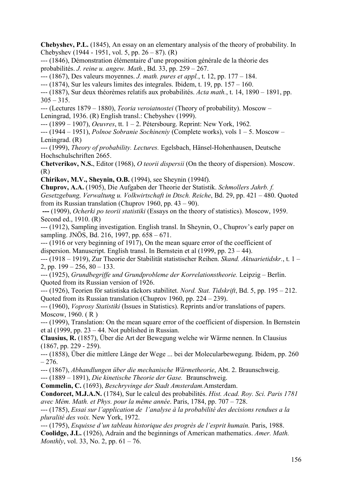**Chebyshev, P.L.** (1845), An essay on an elementary analysis of the theory of probability. In Chebyshev (1944 - 1951, vol. 5, pp. 26 – 87). (R)

--- (1846), Démonstration élémentaire d'une proposition générale de la théorie des probabilités. *J. reine u. angew. Math.*, Bd. 33, pp. 259 – 267.

--- (1867), Des valeurs moyennes. *J. math. pures et appl.*, t. 12, pp. 177 – 184.

 $-(-1874)$ , Sur les valeurs limites des integrales. Ibidem, t. 19, pp. 157 – 160.

--- (1887), Sur deux théorèmes relatifs aux probabilités. *Acta math.*, t. 14, 1890 – 1891, pp.  $305 - 315$ .

--- (Lectures 1879 – 1880), *Teoria veroiatnostei* (Theory of probability). Moscow – Leningrad, 1936. (R) English transl.: Chebyshev (1999).

--- (1899 – 1907), *Oeuvres*, tt. 1 – 2. Pétersbourg. Reprint: New York, 1962*.* 

--- (1944 – 1951), *Polnoe Sobranie Sochineniy* (Complete works), vols 1 – 5. Moscow – Leningrad. (R)

--- (1999), *Theory of probability. Lectures.* Egelsbach, Hänsel-Hohenhausen, Deutsche Hochschulschriften 2665.

**Chetverikov, N.S.**, Editor (1968), *O teorii dispersii* (On the theory of dispersion). Moscow. (R)

**Chirikov, M.V., Sheynin, O.B.** (1994), see Sheynin (1994f).

**Chuprov, A.A.** (1905), Die Aufgaben der Theorie der Statistik. *Schmollers Jahrb. f. Gesetzgebung, Verwaltung u. Volkwirtschaft in Dtsch. Reiche*, Bd. 29, pp. 421 – 480. Quoted from its Russian translation (Chuprov 1960, pp. 43 – 90).

 **---** (1909), *Ocherki po teorii statistiki* (Essays on the theory of statistics). Moscow, 1959. Second ed., 1910. (R)

--- (1912), Sampling investigation. English transl. In Sheynin, O., Chuprov's early paper on sampling. JNÖS, Bd. 216, 1997, pp. 658 – 671.

--- (1916 or very beginning of 1917), On the mean square error of the coefficient of dispersion. Manuscript. English transl. In Bernstein et al (1999, pp. 23 – 44).

--- (1918 – 1919), Zur Theorie der Stabilität statistischer Reihen. *Skand. Aktuarietidskr.*, t. 1 – 2, pp.  $199 - 256$ ,  $80 - 133$ .

--- (1925), *Grundbegriffe und Grundprobleme der Korrelationstheorie.* Leipzig – Berlin. Quoted from its Russian version of 1926.

--- (1926), Teorien för satistiska räckors stabilitet. *Nord. Stat. Tidskrift*, Bd. 5, pp. 195 – 212. Quoted from its Russian translation (Chuprov 1960, pp. 224 – 239).

--- (1960), *Voprosy Statistiki* (Issues in Statistics). Reprints and/or translations of papers. Moscow, 1960. ( R )

--- (1999), Translation: On the mean square error of the coefficient of dispersion. In Bernstein et al  $(1999, pp. 23 - 44)$ . Not published in Russian.

**Clausius, R.** (1857), Über die Art der Bewegung welche wir Wärme nennen. In Clausius (1867, pp. 229 - 259).

--- (1858), Über die mittlere Länge der Wege ... bei der Molecularbewegung. Ibidem, pp. 260  $-276.$ 

--- (1867), *Abhandlungen über die mechanische Wärmetheorie*, Abt. 2. Braunschweig.

--- (1889 – 1891), *Die kinetische Theorie der Gase.* Braunschweig.

**Commelin, C.** (1693), *Beschryvinge der Stadt Amsterdam.*Amsterdam.

**Condorcet, M.J.A.N.** (1784), Sur le calcul des probabilités. *Hist. Acad. Roy. Sci. Paris 1781 avec Mém. Math. et Phys. pour la même année*. Paris, 1784, pp. 707 – 728.

--- (1785), *Essai sur l'application de l'analyse à la probabilité des decisions rendues a la pluralité des voix.* New York, 1972.

--- (1795), *Esquisse d'un tableau historique des progrès de l'esprit humain.* Paris, 1988. **Coolidge, J.L.** (1926), Adrain and the beginnings of American mathematics. *Amer. Math. Monthly*, vol. 33, No. 2, pp. 61 – 76.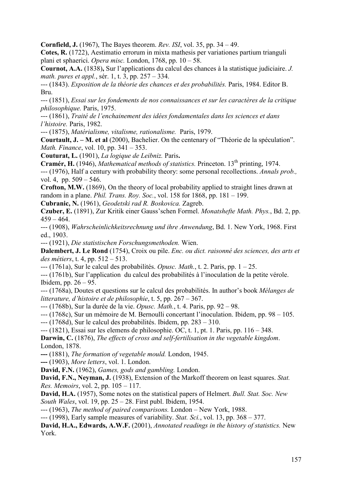**Cornfield, J.** (1967), The Bayes theorem. *Rev. ISI*, vol. 35, pp. 34 – 49.

**Cotes, R.** (1722), Aestimatio errorum in mixta mathesis per variationes partium trianguli plani et sphaerici. *Opera misc.* London, 1768, pp. 10 – 58.

**Cournot, A.A.** (1838)**,** Sur l'applications du calcul des chances à la statistique judiciaire. *J. math. pures et appl.*, sér. 1, t. 3, pp. 257 – 334.

--- (1843). *Exposition de la théorie des chances et des probabilités.* Paris, 1984. Editor B. Bru.

--- (1851), *Essai sur les fondements de nos connaissances et sur les caractères de la critique philosophique.* Paris, 1975.

--- (1861), *Traité de l'enchainement des idées fondamentales dans les sciences et dans l'histoire.* Paris, 1982.

--- (1875), *Matérialisme, vitalisme, rationalisme.* Paris, 1979.

**Courtault, J. – M. et al** (2000), Bachelier. On the centenary of "Théorie de la spéculation". *Math. Finance*, vol. 10, pp. 341 – 353.

**Couturat, L.** (1901), *La logique de Leibniz.* Paris**.**

**Cramér, H.** (1946), *Mathematical methods of statistics.* Princeton. 13th printing, 1974. --- (1976), Half a century with probability theory: some personal recollections. *Annals prob.,* 

vol. 4, pp. 509 – 546.

**Crofton, M.W.** (1869), On the theory of local probability applied to straight lines drawn at random in a plane. *Phil. Trans. Roy. Soc.*, vol. 158 for 1868, pp. 181 – 199.

**Cubranic, N.** (1961), *Geodetski rad R. Boskovica.* Zagreb.

**Czuber, E.** (1891), Zur Kritik einer Gauss'schen Formel. *Monatshefte Math. Phys.*, Bd. 2, pp.  $459 - 464$ .

--- (1908), *Wahrscheinlichkeitsrechnung und ihre Anwendung*, Bd. 1. New York, 1968. First ed., 1903.

--- (1921), *Die statistischen Forschungsmethoden.* Wien.

**Dalembert, J. Le Rond** (1754), Croix ou pile. *Enc. ou dict. raisonné des sciences, des arts et des métiers*, t. 4, pp. 512 – 513.

--- (1761a), Sur le calcul des probabilités. *Opusc. Math.*, t. 2. Paris, pp. 1 – 25.

--- (1761b), Sur l'application du calcul des probabilités à l'inoculation de la petite vérole. Ibidem, pp. 26 – 95.

--- (1768a), Doutes et questions sur le calcul des probabilités. In author's book *Mélanges de litterature, d'histoire et de philosophie*, t. 5, pp. 267 – 367.

--- (1768b), Sur la durée de la vie. *Opusc. Math.*, t. 4. Paris, pp. 92 – 98.

--- (1768c), Sur un mémoire de M. Bernoulli concertant l'inoculation. Ibidem, pp. 98 – 105.

--- (1768d), Sur le calcul des probabilités. Ibidem, pp. 283 – 310.

 $-(-1821)$ , Essai sur les elemens de philosophie. OC, t. 1, pt. 1, Paris, pp. 116 – 348.

**Darwin, C.** (1876), *The effects of cross and self-fertilisation in the vegetable kingdom*. London, 1878.

**---** (1881), *The formation of vegetable mould.* London, 1945.

**---** (1903), *More letters*, vol. 1. London.

**David, F.N.** (1962), *Games, gods and gambling.* London.

**David, F.N., Neyman, J.** (1938), Extension of the Markoff theorem on least squares. *Stat. Res. Memoirs*, vol. 2, pp. 105 – 117.

**David, H.A.** (1957), Some notes on the statistical papers of Helmert. *Bull. Stat. Soc. New South Wales*, vol. 19, pp. 25 – 28. First publ. Ibidem, 1954.

--- (1963), *The method of paired comparisons.* London – New York, 1988.

--- (1998), Early sample measures of variability. *Stat. Sci.*, vol. 13, pp. 368 – 377.

**David, H.A., Edwards, A.W.F.** (2001), *Annotated readings in the history of statistics.* New York.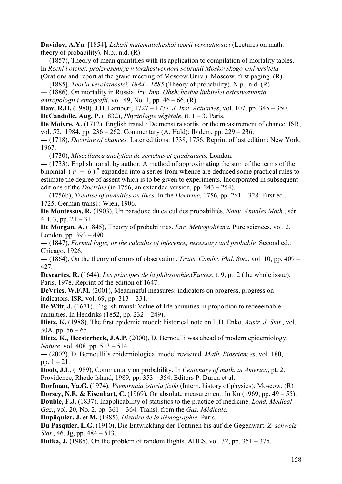**Davidov, A.Yu.** [1854], *Lektsii matematicheskoi teorii veroiatnostei* (Lectures on math. theory of probability). N.p., n.d. (R)

--- (1857), Theory of mean quantities with its application to compilation of mortality tables. In *Rechi i otchet, proiznesennye v torzhestvennom sobranii Moskovskogo Universiteta* 

(Orations and report at the grand meeting of Moscow Univ.). Moscow, first paging. (R)

--- [1885], *Teoria veroiatnostei, 1884 - 1885* (Theory of probability). N.p., n.d. (R)

--- (1886), On mortality in Russia. *Izv. Imp. Obshchestva liubitelei estestvoznania,* 

*antropologii i etnografii*, vol. 49, No. 1, pp. 46 – 66. (R)

**Daw, R.H.** (1980), J.H. Lambert, 1727 – 1777. *J. Inst. Actuaries*, vol. 107, pp. 345 – 350. **DeCandolle, Aug. P.** (1832), *Physiologie végétale*, tt. 1 – 3. Paris.

**De Moivre, A.** (1712). English transl.: De mensura sortis or the measurement of chance. ISR. vol. 52, 1984, pp. 236 – 262. Commentary (A. Hald): Ibidem, pp. 229 – 236.

--- (1718), *Doctrine of chances.* Later editions: 1738, 1756. Reprint of last edition: New York, 1967.

--- (1730), *Miscellanea analytica de seriebus et quadraturis.* London.

--- (1733). English transl. by author: A method of approximating the sum of the terms of the binomial  $(a + b)^n$  expanded into a series from whence are deduced some practical rules to estimate the degree of assent which is to be given to experiments. Incorporated in subsequent editions of the *Doctrine* (in 1756, an extended version, pp. 243 – 254).

--- (1756b), *Treatise of annuities on lives*. In the *Doctrine*, 1756, pp. 261 – 328. First ed., 1725. German transl.: Wien, 1906.

**De Montessus, R.** (1903), Un paradoxe du calcul des probabilités. *Nouv. Annales Math.*, sér. 4, t. 3, pp.  $21 - 31$ .

**De Morgan, A.** (1845), Theory of probabilities. *Enc. Metropolitana*, Pure sciences, vol. 2. London, pp. 393 – 490.

--- (1847), *Formal logic, or the calculus of inference, necessary and probable.* Second ed.: Chicago, 1926.

--- (1864), On the theory of errors of observation. *Trans. Cambr. Phil. Soc.*, vol. 10, pp. 409 – 427.

**Descartes, R.** (1644), *Les principes de la philosophie.Œuvres,* t. 9, pt. 2 (the whole issue). Paris, 1978. Reprint of the edition of 1647.

**DeVries, W.F.M.** (2001), Meaningful measures: indicators on progress, progress on indicators. ISR, vol. 69, pp. 313 – 331.

**De Witt, J.** (1671). English transl: Value of life annuities in proportion to redeeemable annuities. In Hendriks (1852, pp. 232 – 249).

**Dietz, K.** (1988), The first epidemic model: historical note on P.D. Enko. *Austr. J. Stat.*, vol. 30A, pp.  $56 - 65$ .

Dietz, K., Heesterbeek, J.A.P. (2000), D. Bernoulli was ahead of modern epidemiology. *Nature*, vol. 408, pp. 513 – 514.

**---** (2002), D. Bernoulli's epidemiological model revisited. *Math. Biosciences*, vol. 180, pp.  $1 - 21$ .

**Doob, J.L.** (1989), Commentary on probability. In *Centenary of math. in America*, pt. 2. Providence, Rhode Island, 1989, pp. 353 – 354. Editors P. Duren et al.

**Dorfman, Ya.G.** (1974), *Vsemirnaia istoria fiziki* (Intern. history of physics). Moscow. (R) **Dorsey, N.E. & Eisenhart, C.** (1969), On absolute measurement. In Ku (1969, pp. 49 – 55). **Double, F.J.** (1837), Inapplicability of statistics to the practice of medicine. *Lond. Medical Gaz.*, vol. 20, No. 2, pp. 361 – 364. Transl. from the *Gaz. Médicale.*

**Dupâquier, J.** et **M.** (1985), *Histoire de la démographie.* Paris.

**Du Pasquier, L.G.** (1910), Die Entwicklung der Tontinen bis auf die Gegenwart. *Z. schweiz. Stat.*, 46. Jg, pp. 484 – 513.

**Dutka, J.** (1985), On the problem of random flights. AHES, vol. 32, pp. 351 – 375.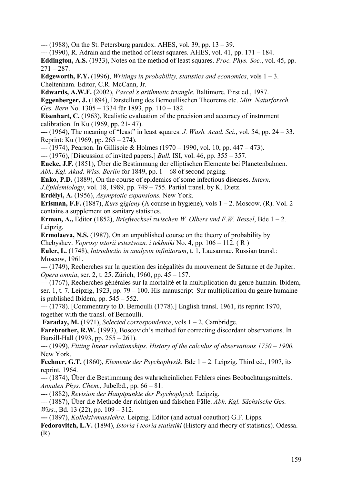--- (1988), On the St. Petersburg paradox. AHES, vol. 39, pp. 13 – 39.

 $-(-1990)$ , R. Adrain and the method of least squares. AHES, vol. 41, pp. 171 – 184.

**Eddington, A.S.** (1933), Notes on the method of least squares. *Proc. Phys. Soc.*, vol. 45, pp.  $271 - 287$ .

**Edgeworth, F.Y.** (1996), *Writings in probability, statistics and economics*, vols  $1 - 3$ . Cheltenham. Editor, C.R. McCann, Jr.

**Edwards, A.W.F.** (2002), *Pascal's arithmetic triangle*. Baltimore. First ed., 1987.

**Eggenberger, J.** (1894), Darstellung des Bernoullischen Theorems etc. *Mitt. Naturforsch. Ges. Bern* No. 1305 – 1334 für 1893, pp. 110 – 182.

**Eisenhart, C.** (1963), Realistic evaluation of the precision and accuracy of instrument calibration. In Ku (1969, pp. 21- 47).

**---** (1964), The meaning of "least" in least squares. *J. Wash. Acad. Sci.*, vol. 54, pp. 24 – 33. Reprint: Ku (1969, pp. 265 – 274).

--- (1974), Pearson. In Gillispie & Holmes (1970 – 1990, vol. 10, pp. 447 – 473).

--- (1976), [Discussion of invited papers.] *Bull.* ISI, vol. 46, pp. 355 – 357.

**Encke, J.F.** (1851), Über die Bestimmung der elliptischen Elemente bei Planetenbahnen. *Abh. Kgl. Akad. Wiss. Berlin* for 1849, pp. 1 – 68 of second paging.

**Enko, P.D.** (1889), On the course of epidemics of some infectious diseases. *Intern.*

*J.Epidemiology*, vol. 18, 1989, pp. 749 – 755. Partial transl. by K. Dietz.

**Erdélyi, A.** (1956), *Asymptotic expansions.* New York.

**Erisman, F.F.** (1887), *Kurs gigieny* (A course in hygiene), vols  $1 - 2$ . Moscow. (R). Vol. 2 contains a supplement on sanitary statistics.

**Erman, A.,** Editor (1852), *Briefwechsel zwischen W. Olbers und F.W. Bessel*, Bde 1 – 2. Leipzig.

**Ermolaeva, N.S.** (1987), On an unpublished course on the theory of probability by Chebyshev. *Voprosy istorii estestvozn. i tekhniki* No. 4, pp. 106 – 112. ( R )

**Euler, L.** (1748), *Introductio in analysin infinitorum*, t. 1, Lausannae. Russian transl.: Moscow, 1961.

**---** (1749), Recherches sur la question des inégalités du mouvement de Saturne et de Jupiter. *Opera omnia*, ser. 2, t. 25. Zürich, 1960, pp. 45 – 157.

--- (1767), Recherches générales sur la mortalité et la multiplication du genre humain. Ibidem, ser. 1, t. 7. Leipzig, 1923, pp. 79 – 100. His manuscript Sur multiplication du genre humaine is published Ibidem, pp. 545 – 552.

--- (1778). [Commentary to D. Bernoulli (1778).] English transl. 1961, its reprint 1970, together with the transl. of Bernoulli.

**Faraday, M.** (1971), *Selected correspondence*, vols 1 – 2. Cambridge.

**Farebrother, R.W.** (1993), Boscovich's method for correcting discordant observations. In Bursill-Hall (1993, pp. 255 – 261).

--- (1999), *Fitting linear relationships. History of the calculus of observations 1750 – 1900.* New York.

**Fechner, G.T.** (1860), *Elemente der Psychophysik*, Bde 1 – 2. Leipzig. Third ed., 1907, its reprint, 1964.

--- (1874), Über die Bestimmung des wahrscheinlichen Fehlers eines Beobachtungsmittels. *Annalen Phys. Chem.*, Jubelbd., pp. 66 – 81.

--- (1882), *Revision der Hauptpunkte der Psychophysik.* Leipzig.

--- (1887), Über die Methode der richtigen und falschen Fälle. *Abh. Kgl. Sächsische Ges. Wiss.*, Bd. 13 (22), pp. 109 – 312.

**---** (1897), *Kollektivmasslehre.* Leipzig. Editor (and actual coauthor) G.F. Lipps.

**Fedorovitch, L.V.** (1894), *Istoria i teoria statistiki* (History and theory of statistics). Odessa. (R)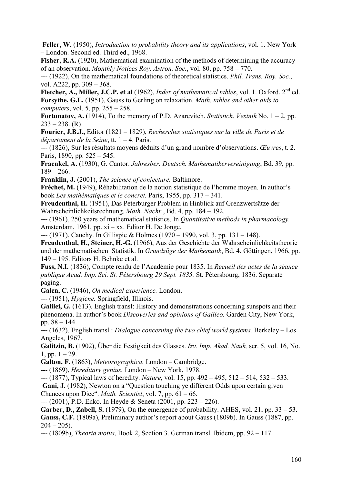**Feller, W.** (1950), *Introduction to probability theory and its applications*, vol. 1. New York – London. Second ed. Third ed., 1968.

Fisher, R.A. (1920), Mathematical examination of the methods of determining the accuracy of an observation. *Monthly Notices Roy. Astron. Soc.*, vol. 80, pp. 758 – 770.

--- (1922), On the mathematical foundations of theoretical statistics. *Phil. Trans. Roy. Soc.*, vol. A222, pp. 309 – 368.

**Fletcher, A., Miller, J.C.P. et al** (1962), *Index of mathematical tables*, vol. 1. Oxford. 2nd ed. **Forsythe, G.E.** (1951), Gauss to Gerling on relaxation. *Math. tables and other aids to computers*, vol. 5, pp. 255 – 258.

**Fortunatov, A.** (1914), To the memory of P.D. Azarevitch. *Statistich. Vestnik* No. 1 – 2, pp.  $233 - 238$ . (R)

**Fourier, J.B.J.,** Editor (1821 – 1829), *Recherches statistiques sur la ville de Paris et de départament de la Seine*, tt. 1 – 4. Paris.

--- (1826), Sur les résultats moyens déduits d'un grand nombre d'observations. *Œuvres*, t. 2. Paris, 1890, pp. 525 – 545.

**Fraenkel, A.** (1930), G. Cantor. *Jahresber. Deutsch. Mathematikervereinigung*, Bd. 39, pp.  $189 - 266$ .

**Franklin, J.** (2001), *The science of conjecture.* Baltimore.

**Fréchet, M.** (1949), Réhabilitation de la notion statistique de l'homme moyen. In author's book *Les mathématiques et le concret.* Paris, 1955, pp. 317 – 341.

**Freudenthal, H.** (1951), Das Peterburger Problem in Hinblick auf Grenzwertsätze der Wahrscheinlichkeitsrechnung. *Math. Nachr.*, Bd. 4, pp. 184 – 192.

**---** (1961), 250 years of mathematical statistics. In *Quantitative methods in pharmacology.*  Amsterdam, 1961, pp. xi – xx. Editor H. De Jonge.

--- (1971), Cauchy. In Gillispie & Holmes (1970 – 1990, vol. 3, pp. 131 – 148).

**Freudenthal, H., Steiner, H.-G.** (1966), Aus der Geschichte der Wahrscheinlichkeitstheorie und der mathematischen Statistik. In *Grundzüge der Mathematik*, Bd. 4. Göttingen, 1966, pp. 149 – 195. Editors H. Behnke et al.

**Fuss, N.I.** (1836), Compte rendu de l'Académie pour 1835. In *Recueil des actes de la séance publique Acad. Imp. Sci. St. Pétersbourg 29 Sept. 1835.* St. Pétersbourg, 1836. Separate paging.

**Galen, C.** (1946), *On medical experience.* London.

--- (1951), *Hygiene.* Springfield, Illinois.

Galilei, G. (1613). English transl: History and demonstrations concerning sunspots and their phenomena. In author's book *Discoveries and opinions of Galileo.* Garden City, New York, pp. 88 – 144.

**---** (1632). English transl.: *Dialogue concerning the two chief world systems.* Berkeley – Los Angeles, 1967.

**Galitzin, B.** (1902), Über die Festigkeit des Glasses. *Izv. Imp. Akad. Nauk,* ser. 5, vol. 16, No. 1, pp.  $1 - 29$ .

**Galton, F.** (1863), *Meteorographica.* London – Cambridge.

--- (1869), *Hereditary genius.* London – New York, 1978.

--- (1877), Typical laws of heredity. *Nature*, vol. 15, pp. 492 – 495, 512 – 514, 532 – 533.

Gani, J. (1982), Newton on a "Question touching ye different Odds upon certain given Chances upon Dice". *Math. Scientist*, vol. 7, pp. 61 – 66.

--- (2001), P.D. Enko. In Heyde & Seneta (2001, pp. 223 – 226).

Garber, D., Zabell, S. (1979), On the emergence of probability. AHES, vol. 21, pp. 33 – 53. **Gauss, C.F.** (1809a), Preliminary author's report about Gauss (1809b). In Gauss (1887, pp.  $204 - 205$ ).

--- (1809b), *Theoria motus*, Book 2, Section 3. German transl. Ibidem, pp. 92 – 117.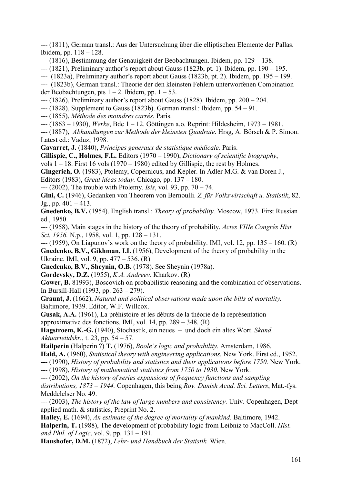--- (1811), German transl.: Aus der Untersuchung über die elliptischen Elemente der Pallas. Ibidem, pp. 118 – 128.

--- (1816), Bestimmung der Genauigkeit der Beobachtungen. Ibidem, pp. 129 – 138.

--- (1821), Preliminary author's report about Gauss (1823b, pt. 1). Ibidem, pp. 190 – 195.

--- (1823a), Preliminary author's report about Gauss (1823b, pt. 2). Ibidem, pp. 195 – 199.

--- (1823b), German transl.: Theorie der den kleinsten Fehlern unterworfenen Combination der Beobachtungen, pts  $1 - 2$ . Ibidem, pp.  $1 - 53$ .

--- (1826), Preliminary author's report about Gauss (1828). Ibidem, pp. 200 – 204.

--- (1828), Supplement to Gauss (1823b). German transl.: Ibidem, pp. 54 – 91.

--- (1855), *Méthode des moindres carrés.* Paris.

--- (1863 – 1930), *Werke*, Bde 1 – 12. Göttingen a.o. Reprint: Hildesheim, 1973 – 1981.

--- (1887), *Abhandlungen zur Methode der kleinsten Quadrate*. Hrsg, A. Börsch & P. Simon. Latest ed.: Vaduz, 1998.

**Gavarret, J.** (1840), *Principes generaux de statistique médicale.* Paris.

**Gillispie, C., Holmes, F.L.** Editors (1970 – 1990), *Dictionary of scientific biography*,

vols  $1 - 18$ . First 16 vols (1970 – 1980) edited by Gillispie, the rest by Holmes.

Gingerich, O. (1983), Ptolemy, Copernicus, and Kepler. In Adler M.G. & van Doren J.,

Еditors (1983), *Great ideas today.* Chicago, pp. 137 – 180.

--- (2002), The trouble with Ptolemy. *Isis*, vol. 93, pp. 70 – 74.

**Gini, C.** (1946), Gedanken von Theorem von Bernoulli. *Z. für Volkswirtschaft u. Statistik*, 82.  $Jg_{1}$ , pp.  $401 - 413$ .

**Gnedenko, B.V.** (1954). English transl.: *Theory of probability.* Moscow, 1973. First Russian ed., 1950.

--- (1958), Main stages in the history of the theory of probability. *Actes VIIIe Congrès Hist. Sci. 1956.* N.p., 1958, vol. 1, pp. 128 – 131.

 $-$ --(1959), On Liapunov's work on the theory of probability. IMI, vol. 12, pp. 135 – 160. (R) **Gnedenko, B, V., Gikhman, I.I.** (1956), Development of the theory of probability in the Ukraine. IMI, vol. 9, pp. 477 – 536. (R)

**Gnedenko, B.V., Sheynin, O.B.** (1978). See Sheynin (1978a).

**Gordevsky, D.Z.** (1955), *K.A. Andreev.* Kharkov. (R)

**Gower, B.** 81993), Boscovich on probabilistic reasoning and the combination of observations. In Bursill-Hall (1993, pp. 263 – 279).

**Graunt, J.** (1662), *Natural and political observations made upon the bills of mortality.*  Baltimore, 1939. Editor, W.F. Willcox.

**Gusak, A.A.** (1961), La préhistoire et les débuts de la théorie de la représentation approximative des fonctions. IMI, vol. 14, pp. 289 – 348. (R)

**Hagstroem, K.-G.** (1940), Stochastik, ein neues – und doch ein altes Wort. *Skand. Aktuarietidskr.*, t. 23, pp. 54 – 57.

**Hailperin** (Halperin ?) **T.** (1976), *Boole's logic and probability.* Amsterdam, 1986.

**Hald, A.** (1960), *Statistical theory with engineering applications.* New York. First ed., 1952.

**---** (1990), *History of probability and statistics and their applications before 1750.* New York.

--- (1998), *History of mathematical statistics from 1750 to 1930.* New York.

--- (2002), *On the history of series expansions of frequency functions and sampling* 

*distributions, 1873 – 1944.* Copenhagen, this being *Roy. Danish Acad. Sci. Letters*, Mat.-fys. Meddelelser No. 49.

--- (2003), *The history of the law of large numbers and consistency.* Univ. Copenhagen, Dept applied math. & statistics, Preprint No. 2.

**Halley, E.** (1694), *An estimate of the degree of mortality of mankind*. Baltimore, 1942. **Halperin, T.** (1988), The development of probability logic from Leibniz to MacColl. *Hist. and Phil. of Logic*, vol. 9, pp. 131 – 191.

**Haushofer, D.M.** (1872), *Lehr- und Handbuch der Statistik.* Wien.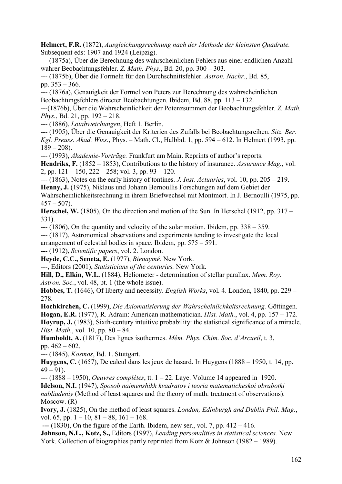**Helmert, F.R.** (1872), *Ausgleichungsrechnung nach der Methode der kleinsten Quadrate.*  Subsequent eds: 1907 and 1924 (Leipzig).

--- (1875a), Über die Berechnung des wahrscheinlichen Fehlers aus einer endlichen Anzahl wahrer Beobachtungsfehler. *Z. Math. Phys.*, Bd. 20, pp. 300 – 303.

--- (1875b), Über die Formeln für den Durchschnittsfehler. *Astron. Nachr.*, Bd. 85, pp. 353 – 366.

--- (1876a), Genauigkeit der Formel von Peters zur Berechnung des wahrscheinlichen Beobachtungsfehlers directer Beobachtungen. Ibidem, Bd. 88, pp. 113 – 132.

---(1876b), Über die Wahrscheinlichkeit der Potenzsummen der Beobachtungsfehler. *Z. Math. Phys.*, Bd. 21, pp. 192 – 218.

--- (1886), *Lotabweichungen*, Heft 1. Berlin.

--- (1905), Über die Genauigkeit der Kriterien des Zufalls bei Beobachtungsreihen. *Sitz. Ber. Kgl. Preuss. Akad. Wiss.*, Phys. – Math. Cl., Halbbd. 1, pp. 594 – 612. In Helmert (1993, pp.  $189 - 208$ ).

--- (1993), *Akademie-Vorträge.* Frankfurt am Main. Reprints of author's reports.

Hendriks, F. (1852 – 1853), Contributions to the history of insurance. *Assurance Mag.*, vol. 2, pp.  $121 - 150$ ,  $222 - 258$ ; vol. 3, pp.  $93 - 120$ .

--- (1863), Notes on the early history of tontines. *J. Inst. Actuaries*, vol. 10, pp. 205 – 219. **Henny, J.** (1975), Niklaus und Johann Bernoullis Forschungen auf dem Gebiet der Wahrscheinlichkeitsrechnung in ihrem Briefwechsel mit Montmort. In J. Bernoulli (1975, pp.

 $457 - 507$ .

**Herschel, W.** (1805), On the direction and motion of the Sun. In Herschel (1912, pp. 317 – 331).

--- (1806), On the quantity and velocity of the solar motion. Ibidem, pp. 338 – 359.

--- (1817), Astronomical observations and experiments tending to investigate the local arrangement of celestial bodies in space. Ibidem, pp. 575 – 591.

--- (1912), *Scientific papers*, vol. 2. London.

**Heyde, C.C., Seneta, E.** (1977), *Bienaymé.* New York.

---, Editors (2001), *Statisticians of the centuries.* New York.

**Hill, D., Elkin, W.L.** (1884), Heliometer - determination of stellar parallax. *Mem. Roy. Astron. Soc.*, vol. 48, pt. 1 (the whole issue).

**Hobbes, T.** (1646), Of liberty and necessity. *English Works*, vol. 4. London, 1840, pp. 229 – 278.

**Hochkirchen, C.** (1999), *Die Axiomatisierung der Wahrscheinlichkeitsrechnung.* Göttingen. **Hogan, E.R.** (1977), R. Adrain: American mathematician. *Hist. Math.*, vol. 4, pp. 157 – 172. Hoyrup, J. (1983), Sixth-century intuitive probability: the statistical significance of a miracle. *Hist. Math.*, vol. 10, pp. 80 – 84.

**Humboldt, A.** (1817), Des lignes isothermes. *Mém. Phys. Chim. Soc. d'Arcueil*, t. 3, pp. 462 – 602.

--- (1845), *Kosmos*, Bd. 1. Stuttgart.

**Huygens, C.** (1657), De calcul dans les jeux de hasard. In Huygens (1888 – 1950, t. 14, pp.  $49 - 91$ ).

--- (1888 – 1950), *Oeuvres complètes*, tt. 1 – 22. Laye. Volume 14 appeared in 1920.

**Idelson, N.I.** (1947), *Sposob naimenshikh kvadratov i teoria matematicheskoi obrabotki nabliudeniy* (Method of least squares and the theory of math. treatment of observations). Moscow. (R)

**Ivory, J.** (1825), On the method of least squares. *London, Edinburgh and Dublin Phil. Mag.*, vol. 65, pp.  $1 - 10$ ,  $81 - 88$ ,  $161 - 168$ .

**---** (1830), On the figure of the Earth. Ibidem, new ser., vol. 7, pp. 412 – 416.

**Johnson, N.L., Kotz, S.,** Editors (1997), *Leading personalities in statistical sciences.* New York. Collection of biographies partly reprinted from Kotz & Johnson (1982 – 1989).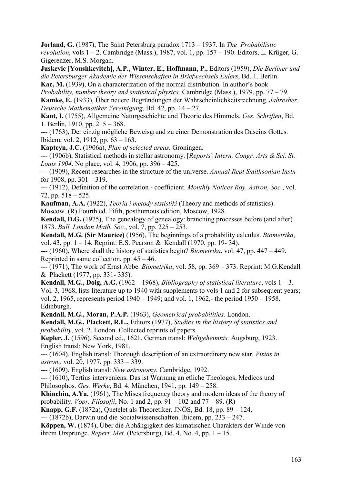**Jorland, G.** (1987), The Saint Petersburg paradox 1713 – 1937. In *The Probabilistic revolution*, vols 1 – 2. Cambridge (Mass.), 1987, vol. 1, pp. 157 – 190. Editors, L. Krüger, G. Gigerenzer, M.S. Morgan.

**Juskevic [Youshkevitch], A.P., Winter, E., Hoffmann, P.,** Editors (1959), *Die Berliner und die Petersburger Akademie der Wissenschaften in Briefwechsels Eulers*, Bd. 1. Berlin.

**Kac, M.** (1939), On a characterization of the normal distribution. In author's book

*Probability, number theory and statistical physics.* Cambridge (Mass.), 1979, pp. 77 – 79.

**Kamke, E.** (1933), Über neuere Begründungen der Wahrscheinlichkeitsrechnung. *Jahresber. Deutsche Mathematiker Vereinigung*, Bd. 42, pp. 14 – 27.

**Kant, I.** (1755), Allgemeine Naturgeschichte und Theorie des Himmels. *Ges. Schriften*, Bd. 1. Berlin, 1910, pp. 215 – 368.

--- (1763), Der einzig mögliche Beweisgrund zu einer Demonstration des Daseins Gottes. Ibidem, vol. 2, 1912, pp. 63 – 163.

**Kapteyn, J.C.** (1906a), *Plan of selected areas.* Groningen.

--- (1906b), Statistical methods in stellar astronomy. [*Reports*] *Intern. Congr. Arts & Sci. St. Louis 1904*. No place, vol. 4, 1906, pp. 396 – 425.

--- (1909), Recent researches in the structure of the universe. *Annual Rept Smithsonian Instn* for 1908, pp.  $301 - 319$ .

--- (1912), Definition of the correlation - coefficient. *Monthly Notices Roy. Astron. Soc.*, vol. 72, pp. 518 – 525.

**Kaufman, A.A.** (1922), *Teoria i metody ststistiki* (Theory and methods of statistics). Moscow. (R) Fourth ed. Fifth, posthumous edition, Moscow, 1928.

**Kendall, D.G.** (1975), The genealogy of genealogy: branching processes before (and after) 1873. *Bull. London Math. Soc.*, vol. 7, pp. 225 – 253.

**Kendall, M.G. (Sir Maurice)** (1956), The beginnings of a probability calculus. *Biometrika*, vol. 43, pp. 1 – 14. Reprint: E.S. Pearson & Kendall (1970, pp. 19- 34).

--- (1960), Where shall the history of statistics begin? *Biometrika*, vol. 47, pp. 447 – 449. Reprinted in same collection, pp. 45 – 46.

--- (1971), The work of Ernst Abbe. *Biometrika*, vol. 58, pp. 369 – 373. Reprint: M.G.Kendall & Plackett (1977, pp. 331- 335).

**Kendall, M.G., Doig, A.G.** (1962 – 1968), *Bibliography of statistical literature*, vols  $1 - 3$ . Vol. 3, 1968, lists literature up to 1940 with supplements to vols 1 and 2 for subsequent years; vol. 2, 1965, represents period 1940 – 1949; and vol. 1, 1962,- the period 1950 – 1958. Edinburgh.

**Kendall, M.G., Moran, P.A.P.** (1963), *Geometrical probabilities.* London.

**Kendall, M.G., Plackett, R.L.,** Editors (1977), *Studies in the history of statistics and probability*, vol. 2. London. Collected reprints of papers.

**Kepler, J.** (1596). Second ed., 1621. German transl: *Weltgeheimnis.* Augsburg, 1923. English transl: New York, 1981.

--- (1604). English transl: Thorough description of an extraordinary new star. *Vistas in astron.*, vol. 20, 1977, pp. 333 – 339.

--- (1609). English transl: *New astronomy.* Cambridge, 1992.

--- (1610), Tertius interveniens. Das ist Warnung an etliche Theologos, Medicos und Philosophos. *Ges. Werke*, Bd. 4. München, 1941, pp. 149 – 258.

**Khinchin, A.Ya.** (1961), The Mises frequency theory and modern ideas of the theory of probability. *Vopr. Filosofii*, No. 1 and 2, pp. 91 – 102 and 77 – 89. (R)

**Knapp, G.F.** (1872a), Quetelet als Theoretiker. JNÖS, Bd. 18, pp. 89 – 124.

--- (1872b), Darwin und die Socialwissenschaften. Ibidem, pp. 233 – 247.

**Köppen, W.** (1874), Über die Abhängigkeit des klimatischen Charakters der Winde von ihrem Ursprunge. *Repert. Met.* (Petersburg), Bd. 4, No. 4, pp.  $1 - 15$ .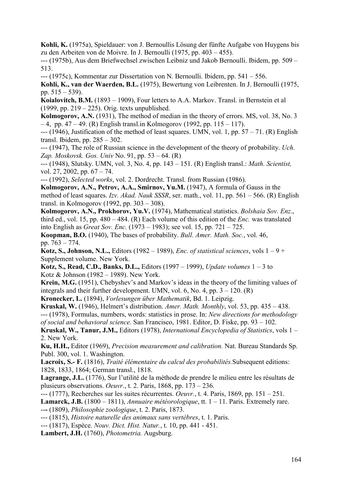**Kohli, K.** (1975a), Spieldauer: von J. Bernoullis Lösung der fünfte Aufgabe von Huygens bis zu den Arbeiten von de Moivre. In J. Bernoulli (1975, pp. 403 – 455).

--- (1975b), Aus dem Briefwechsel zwischen Leibniz und Jakob Bernoulli. Ibidem, pp. 509 – 513.

--- (1975c), Kommentar zur Dissertation von N. Bernoulli. Ibidem, pp. 541 – 556.

**Kohli, K., van der Waerden, B.L.** (1975), Bewertung von Leibrenten. In J. Bernoulli (1975, pp. 515 – 539).

**Koialovitch, B.M.** (1893 – 1909), Four letters to A.A. Markov. Transl. in Bernstein et al (1999, pp. 219 – 225). Orig. texts unpublished.

**Kolmogorov, A.N.** (1931), The method of median in the theory of errors. MS, vol. 38, No. 3 – 4, pp. 47 – 49. (R) English transl.in Kolmogorov (1992, pp. 115 – 117).

 $--$  (1946), Justification of the method of least squares. UMN, vol. 1, pp.  $57 - 71$ . (R) English transl. Ibidem, pp. 285 – 302.

--- (1947), The role of Russian science in the development of the theory of probability. *Uch. Zap. Moskovsk. Gos. Univ* No. 91, pp. 53 – 64. (R)

--- (1948), Slutsky. UMN, vol. 3, No. 4, pp. 143 – 151. (R) English transl.: *Math. Scientist,*  vol. 27, 2002, pp. 67 – 74.

--- (1992), *Selected works*, vol. 2. Dordrecht. Transl. from Russian (1986).

**Kolmogorov, A.N., Petrov, A.A., Smirnov, Yu.M.** (1947), A formula of Gauss in the method of least squares. *Izv. Akad. Nauk SSSR*, ser. math., vol. 11, pp. 561 – 566. (R) English transl. in Kolmogorov (1992, pp. 303 – 308).

**Kolmogorov, A.N., Prokhorov, Yu.V.** (1974), Mathematical statistics. *Bolshaia Sov. Enz*., third ed., vol. 15, pp.  $480 - 484$ . (R) Each volume of this edition of the *Enc.* was translated into English as *Great Sov. Enc.* (1973 – 1983); see vol. 15, pp. 721 – 725.

**Koopman, B.O.** (1940), The bases of probability. *Bull. Amer. Math. Soc.*, vol. 46, pp. 763 – 774.

**Kotz, S., Johnson, N.L.,** Editors (1982 – 1989), *Enc. of statistical sciences*, vols 1 – 9 + Supplement volume. New York.

**Kotz, S., Read, C.D., Banks, D.L.,** Editors (1997 – 1999), *Update volumes* 1 – 3 to Kotz & Johnson (1982 – 1989). New York.

**Krein, M.G.** (1951), Chebyshev's and Markov's ideas in the theory of the limiting values of integrals and their further development. UMN, vol.  $6$ , No.  $4$ , pp.  $3 - 120$ . (R)

**Kronecker, L.** (1894), *Vorlesungen über Mathematik*, Bd. 1. Leipzig.

**Kruskal, W.** (1946), Helmert's distribution. *Amer. Math. Monthly*, vol. 53, pp. 435 – 438. --- (1978), Formulas, numbers, words: statistics in prose. In: *New directions for methodology of social and behavioral science.* San Francisco, 1981. Editor, D. Fiske, pp. 93 – 102.

**Kruskal, W., Tanur, J.M.,** Editors (1978), *International Encyclopedia of Statistics*, vols 1 – 2. New York.

**Ku, H.H.,** Editor (1969), *Precision measurement and calibration.* Nat. Bureau Standards Sp. Publ. 300, vol. 1. Washington.

**Lacroix, S.- F.** (1816), *Traité élémentaire du calcul des probabilités.*Subsequent editions: 1828, 1833, 1864; German transl., 1818.

**Lagrange, J.L.** (1776), Sur l'utilité de la méthode de prendre le milieu entre les résultats de plusieurs observations. *Oeuvr*., t. 2. Paris, 1868, pp. 173 – 236.

--- (1777), Recherches sur les suites récurrentes. *Oeuvr.*, t. 4. Paris, 1869, pp. 151 – 251.

**Lamarck, J.B.** (1800 – 1811), *Annuaire météorologique*, tt. 1 – 11. Paris. Extremely rare.

--**-** (1809), *Philosophie zoologique*, t. 2. Paris, 1873.

--- (1815), *Histoire naturelle des animaux sans vertèbres*, t. 1. Paris.

--- (1817), Espèce. *Nouv. Dict. Hist. Natur.*, t. 10, pp. 441 - 451.

**Lambert, J.H.** (1760), *Photometria.* Augsburg.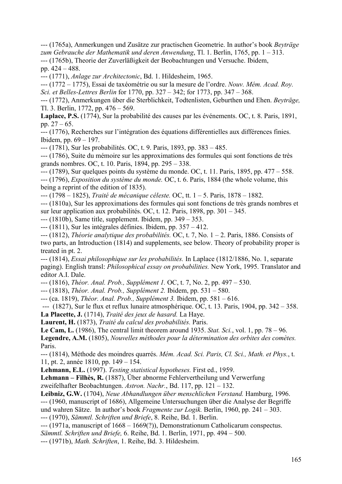--- (1765a), Anmerkungen und Zusätze zur practischen Geometrie. In author's book *Beyträge zum Gebrauche der Mathematik und deren Anwendung*, Tl. 1. Berlin, 1765, pp. 1 – 313. --- (1765b), Theorie der Zuverläßigkeit der Beobachtungen und Versuche. Ibidem, pp. 424 – 488.

--- (1771), *Anlage zur Architectonic*, Bd. 1. Hildesheim, 1965.

--- (1772 – 1775), Essai de taxéométrie ou sur la mesure de l'ordre. *Nouv. Mém. Acad. Roy. Sci. et Belles-Lettres Berlin* for 1770, pp. 327 – 342; for 1773, pp. 347 – 368.

--- (1772), Anmerkungen über die Sterblichkeit, Todtenlisten, Geburthen und Ehen. *Beyträge,* Tl. 3. Berlin, 1772, pp. 476 – 569.

**Laplace, P.S.** (1774), Sur la probabilité des causes par les événements. OC, t. 8. Paris, 1891, pp.  $27 - 65$ .

--- (1776), Recherches sur l'intégration des équations différentielles aux différences finies. Ibidem, pp. 69 – 197.

--- (1781), Sur les probabilités. OC, t. 9. Paris, 1893, pp. 383 – 485.

--- (1786), Suite du mémoire sur les approximations des formules qui sont fonctions de très grands nombres. OC, t. 10. Paris, 1894, pp. 295 – 338.

--- (1789), Sur quelques points du système du monde. OC, t. 11. Paris, 1895, pp. 477 – 558.

--- (1796), *Exposition du système du monde.* OC, t. 6. Paris, 1884 (the whole volume, this being a reprint of the edition of 1835).

--- (1798 – 1825), *Traité de mécanique céleste.* OC, tt. 1 – 5. Paris, 1878 – 1882.

--- (1810a), Sur les approximations des formules qui sont fonctions de très grands nombres et sur leur application aux probabilités. OC, t. 12. Paris, 1898, pp. 301 – 345.

--- (1810b), Same title, supplement. Ibidem, pp. 349 – 353.

--- (1811), Sur les intégrales définies. Ibidem, pp. 357 – 412.

--- (1812), *Théorie analytique des probabilités.* OC, t. 7, No. 1 – 2. Paris, 1886. Consists of two parts, an Introduction (1814) and supplements, see below. Theory of probability proper is treated in pt. 2.

--- (1814), *Essai philosophique sur les probabilités.* In Laplace (1812/1886, No. 1, separate paging). English transl: *Philosophical essay on probabilities.* New York, 1995. Translator and editor A.I. Dale.

--- (1816), *Théor. Anal. Prob., Supplément 1.* OC, t. 7, No. 2, pp. 497 – 530.

--- (1818), *Théor. Anal. Prob., Supplément 2.* Ibidem, pp. 531 – 580.

--- (ca. 1819), *Théor. Anal. Prob., Supplément 3.* Ibidem, pp. 581 – 616.

 --- (1827), Sur le flux et reflux lunaire atmosphérique. OC, t. 13. Paris, 1904, pp. 342 – 358. **La Placette, J.** (1714), *Traité des jeux de hasard.* La Haye.

**Laurent, H.** (1873), *Traité du calcul des probabilités.* Paris.

**Le Cam, L.** (1986), The central limit theorem around 1935. *Stat. Sci.*, vol. 1, pp. 78 – 96.

**Legendre, A.M.** (1805), *Nouvelles méthodes pour la détermination des orbites des comètes.*  Paris.

--- (1814), Méthode des moindres quarrés. *Mém. Acad. Sci. Paris, Cl. Sci., Math. et Phys.*, t. 11, pt. 2, année 1810, pp. 149 – 154.

**Lehmann, E.L.** (1997). *Testing statistical hypotheses.* First ed., 1959.

**Lehmann – Filhès, R.** (1887), Über abnorme Fehlervertheilung und Verwerfung

zweifelhafter Beobachtungen. *Astron. Nachr.*, Bd. 117, pp. 121 – 132.

**Leibniz, G.W.** (1704), *Neue Abhandlungen über menschlichen Verstand.* Hamburg, 1996. --- (1960, manuscript of 1686), Allgemeine Untersuchungen über die Analyse der Begriffe

und wahren Sätze. In author's book *Fragmente zur Logik.* Berlin, 1960, pp. 241 – 303.

--- (1970), *Sämmtl. Schriften und Briefe*, 8. Reihe, Bd. 1. Berlin.

--- (1971a, manuscript of 1668 – 1669(?)), Demonstrationum Catholicarum conspectus.

*Sämmtl. Schriften und Briefe,* 6. Reihe, Bd. 1. Berlin, 1971, pp. 494 – 500.

--- (1971b), *Math. Schriften*, 1. Reihe, Bd. 3. Hildesheim.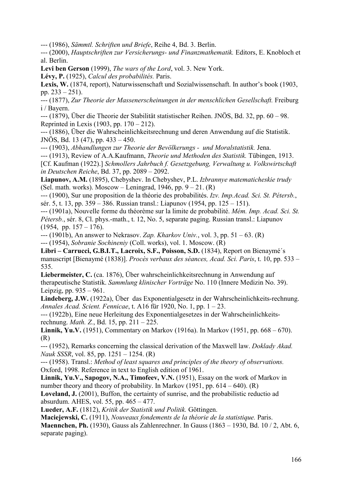--- (1986), *Sämmtl. Schriften und Briefe*, Reihe 4, Bd. 3. Berlin.

--- (2000), *Hauptschriften zur Versicherungs- und Finanzmathematik.* Editors, E. Knobloch et al. Berlin.

**Levi ben Gerson** (1999), *The wars of the Lord*, vol. 3. New York.

**Lévy, P.** (1925), *Calcul des probabilités.* Paris.

Lexis, W. (1874, report), Naturwissenschaft und Sozialwissenschaft. In author's book (1903, pp. 233 – 251).

--- (1877), *Zur Theorie der Massenerscheinungen in der menschlichen Gesellschaft.* Freiburg i / Bayern.

--- (1879), Über die Theorie der Stabilität statistischer Reihen. JNÖS, Bd. 32, pp. 60 – 98. Reprinted in Lexis (1903, pp. 170 – 212).

--- (1886), Über die Wahrscheinlichkeitsrechnung und deren Anwendung auf die Statistik. JNÖS, Bd. 13 (47), pp. 433 – 450.

--- (1903), *Abhandlungen zur Theorie der Bevölkerungs - und Moralstatistik.* Jena.

--- (1913), Review of A.A.Kaufmann, *Theorie und Methoden des Statistik.* Tübingen, 1913.

[Cf. Kaufman (1922).] *Schmollers Jahrbuch f. Gesetzgebung, Verwaltung u. Volkswirtschaft in Deutschen Reiche*, Bd. 37, pp. 2089 – 2092.

**Liapunov, A.M.** (1895), Chebyshev. In Chebyshev, P.L. *Izbrannye matematicheskie trudy*  (Sel. math. works). Moscow – Leningrad, 1946, pp.  $9 - 21$ . (R)

--- (1900), Sur une proposition de la théorie des probabilités. *Izv. Imp.Acad. Sci. St. Pétersb.*, sér. 5, t. 13, pp. 359 – 386. Russian transl.: Liapunov (1954, pp. 125 – 151).

--- (1901a), Nouvelle forme du théorème sur la limite de probabilité. *Mém. Imp. Acad. Sci. St. Pétersb.*, sér. 8, Cl. phys.-math., t. 12, No. 5, separate paging. Russian transl.: Liapunov  $(1954, pp. 157 - 176).$ 

--- (1901b), An answer to Nekrasov. *Zap. Kharkov Univ.*, vol. 3, pp. 51 – 63. (R)

--- (1954), *Sobranie Sochineniy* (Coll. works), vol. 1. Moscow. (R)

**Libri – Carrucci, G.B.I.T., Lacroix, S.F., Poisson, S.D.** (1834), Report on Bienaymé´s manuscript [Bienaymé (1838)]. *Procès verbaux des séances, Acad. Sci. Paris*, t. 10, pp. 533 – 535.

**Liebermeister, C.** (ca. 1876), Über wahrscheinlichkeitsrechnung in Anwendung auf therapeutische Statistik. *Sammlung klinischer Vorträge* No. 110 (Innere Medizin No. 39). Leipzig, pp. 935 – 961.

**Lindeberg, J.W.** (1922a), Über das Exponentialgesetz in der Wahrscheinlichkeits-rechnung. *Annales Acad. Scient. Fennicae*, t. A16 für 1920, No. 1, pp. 1 – 23.

--- (1922b), Eine neue Herleitung des Exponentialgesetzes in der Wahrscheinlichkeitsrechnung. *Math. Z.*, Bd. 15, pp. 211 – 225.

**Linnik, Yu.V.** (1951), Commentary on Markov (1916a). In Markov (1951, pp. 668 – 670). (R)

--- (1952), Remarks concerning the classical derivation of the Maxwell law. *Doklady Akad. Nauk SSSR*, vol. 85, pp. 1251 – 1254. (R)

--- (1958). Transl.: *Method of least squares and principles of the theory of observations.*  Oxford, 1998. Reference in text to English edition of 1961.

**Linnik, Yu.V., Sapogov, N.A., Timofeev, V.N.** (1951), Essay on the work of Markov in number theory and theory of probability. In Markov (1951, pp.  $614 - 640$ ). (R)

Loveland, J. (2001), Buffon, the certainty of sunrise, and the probabilistic reductio ad absurdum. AHES, vol. 55, pp. 465 – 477.

**Lueder, A.F.** (1812), *Kritik der Statistik und Politik.* Göttingen.

**Maciejewski, C.** (1911), *Nouveaux fondements de la théorie de la statistique.* Paris. **Maennchen, Ph.** (1930), Gauss als Zahlenrechner. In Gauss (1863 – 1930, Bd. 10 / 2, Abt. 6, separate paging).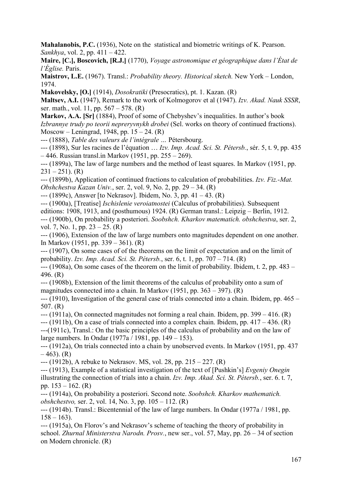**Mahalanobis, P.C.** (1936), Note on the statistical and biometric writings of K. Pearson. *Sankhya*, vol. 2, pp. 411 – 422.

**Maire, [C.], Boscovich, [R.J.]** (1770), *Voyage astronomique et géographique dans l'État de l'Église.* Paris.

**Maistrov, L.E.** (1967). Transl.: *Probability theory. Historical sketch.* New York – London, 1974.

**Makovelsky, [O.]** (1914), *Dosokratiki* (Presocratics), pt. 1. Kazan. (R)

**Maltsev, A.I.** (1947), Remark to the work of Kolmogorov et al (1947). *Izv. Akad. Nauk SSSR*, ser. math., vol. 11, pp. 567 – 578. (R)

**Markov, A.A. [Sr]** (1884), Proof of some of Chebyshev's inequalities. In author's book *Izbrannye trudy po teorii nepreryvnykh drobei* (Sel. works on theory of continued fractions). Moscow – Leningrad, 1948, pp.  $15 - 24$ . (R)

--- (1888), *Table des valeurs de l'intégrale …* Pétersbourg.

--- (1898), Sur les racines de l'équation … *Izv. Imp. Acad. Sci. St. Pétersb.*, sér. 5, t. 9, pp. 435 – 446. Russian transl.in Markov (1951, pp. 255 – 269).

--- (1899a), The law of large numbers and the method of least squares. In Markov (1951, pp.  $231 - 251$ ). (R)

--- (1899b), Application of continued fractions to calculation of probabilities. *Izv. Fiz.-Mat. Obshchestva Kazan Univ.*, ser. 2, vol. 9, No. 2, pp. 29 – 34. (R)

--- (1899c), Answer [to Nekrasov]. Ibidem, No. 3, pp. 41 – 43. (R)

--- (1900a), [Treatise] *Ischislenie veroiatnostei* (Calculus of probabilities). Subsequent editions: 1908, 1913, and (posthumous) 1924. (R) German transl.: Leipzig – Berlin, 1912. --- (1900b), On probability a posteriori. *Soobshch. Kharkov matematich. obshchestva*, ser. 2,

vol. 7, No. 1, pp. 23 – 25. (R)

--- (1906), Extension of the law of large numbers onto magnitudes dependent on one another. In Markov (1951, pp. 339 – 361). (R)

--- (1907), On some cases of of the theorems on the limit of expectation and on the limit of probability. *Izv. Imp. Acad. Sci. St. Pétersb.*, ser. 6, t. 1, pp. 707 – 714. (R)

--- (1908a), On some cases of the theorem on the limit of probability. Ibidem, t. 2, pp. 483 – 496. (R)

--- (1908b), Extension of the limit theorems of the calculus of probability onto a sum of magnitudes connected into a chain. In Markov (1951, pp. 363 – 397). (R)

--- (1910), Investigation of the general case of trials connected into a chain. Ibidem, pp. 465 – 507. (R)

--- (1911a), On connected magnitudes not forming a real chain. Ibidem, pp. 399 – 416. (R)

 $-(-1911b)$ , On a case of trials connected into a complex chain. Ibidem, pp.  $417 - 436$ . (R) ---(1911c), Transl.: On the basic principles of the calculus of probability and on the law of large numbers. In Ondar (1977a / 1981, pp. 149 – 153).

--- (1912a), On trials connected into a chain by unobserved events. In Markov (1951, pp. 437  $-463$ ). (R)

--- (1912b), A rebuke to Nekrasov. MS, vol. 28, pp. 215 – 227. (R)

--- (1913), Example of a statistical investigation of the text of [Pushkin's] *Evgeniy Onegin*  illustrating the connection of trials into a chain. *Izv. Imp. Akad. Sci. St. Pétersb.*, ser. 6. t. 7, pp. 153 – 162. (R)

--- (1914a), On probability a posteriori. Second note. *Soobshch. Kharkov mathematich. obshchestvo,* ser. 2, vol. 14, No. 3, pp. 105 – 112. (R)

--- (1914b). Transl.: Bicentennial of the law of large numbers. In Ondar (1977a / 1981, pp.  $158 - 163$ ).

--- (1915a), On Florov's and Nekrasov's scheme of teaching the theory of probability in school. *Zhurnal Ministerstva Narodn. Prosv.*, new ser., vol. 57, May, pp. 26 – 34 of section on Modern chronicle. (R)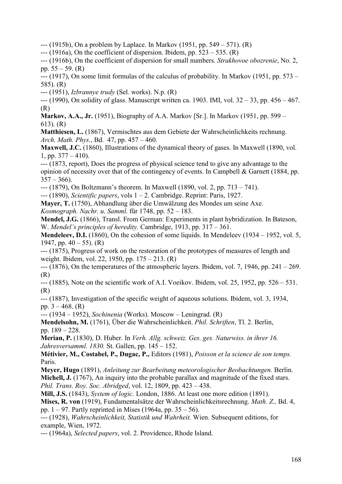$-$ --(1915b), On a problem by Laplace. In Markov (1951, pp. 549 – 571). (R)

 $-$ --(1916a), On the coefficient of dispersion. Ibidem, pp. 523 – 535. (R)

--- (1916b), On the coefficient of dispersion for small numbers. *Strakhovoe obozrenie*, No. 2, pp.  $55 - 59$ . (R)

 $-$ --- (1917), On some limit formulas of the calculus of probability. In Markov (1951, pp. 573 – 585). (R)

--- (1951), *Izbrannye trudy* (Sel. works). N.p. (R)

--- (1990), On solidity of glass. Manuscript written ca. 1903. IMI, vol. 32 – 33, pp. 456 – 467. (R)

**Markov, A.A., Jr.** (1951), Biography of A.A. Markov [Sr.]. In Markov (1951, pp. 599 – 613). (R)

**Matthiesen, L.** (1867), Vermischtes aus dem Gebiete der Wahrscheinlichkeits rechnung. *Arch. Math. Phys.*, Bd. 47, pp. 457 – 460.

**Maxwell, J.C.** (1860), Illustrations of the dynamical theory of gases. In Maxwell (1890, vol. 1, pp.  $377 - 410$ ).

--- (1873, report), Does the progress of physical science tend to give any advantage to the opinion of necessity over that of the contingency of events. In Campbell & Garnett (1884, pp.  $357 - 366$ .

--- (1879), On Boltzmann's theorem. In Maxwell (1890, vol. 2, pp. 713 – 741).

--- (1890), *Scientific papers*, vols 1 – 2. Cambridge. Reprint: Paris, 1927.

**Mayer, T.** (1750), Abhandlung über die Umwälzung des Mondes um seine Axe.

*Kosmograph. Nachr. u. Samml.* für 1748, pp. 52 – 183.

**Mendel, J.G.** (1866), Transl. From German: Experiments in plant hybridization. In Bateson, W. *Mendel's principles of heredity.* Cambridge, 1913, pp. 317 – 361.

**Mendeleev, D.I.** (1860), On the cohesion of some liquids. In Mendeleev (1934 – 1952, vol. 5, 1947, pp.  $40 - 55$ ). (R)

--- (1875), Progress of work on the restoration of the prototypes of measures of length and weight. Ibidem, vol. 22, 1950, pp. 175 – 213. (R)

 $-(-1876)$ , On the temperatures of the atmospheric layers. Ibidem, vol. 7, 1946, pp. 241 – 269. (R)

--- (1885), Note on the scientific work of A.I. Voeikov. Ibidem, vol. 25, 1952, pp. 526 – 531. (R)

--- (1887), Investigation of the specific weight of aqueous solutions. Ibidem, vol. 3, 1934, pp.  $3 - 468$ . (R)

--- (1934 – 1952), *Sochinenia* (Works). Moscow – Leningrad. (R)

**Mendelsohn, M.** (1761), Über die Wahrscheinlichkeit. *Phil. Schriften*, Tl. 2. Berlin, pp. 189 – 228.

**Merian, P.** (1830), D. Huber. In *Verh. Allg. schweiz. Ges. ges. Naturwiss. in ihrer 16. Jahresversamml. 1830.* St. Gallen, pp. 145 – 152.

**Métivier, M., Costabel, P., Dugac, P.,** Editors (1981), *Poisson et la science de son temps.*  Paris.

**Meyer, Hugo** (1891), *Anleitung zur Bearbeitung meteorologischer Beobachtungen.* Berlin. **Michell, J.** (1767), An inquiry into the probable parallax and magnitude of the fixed stars. *Phil. Trans. Roy. Soc. Abridged*, vol. 12, 1809, pp. 423 – 438.

**Mill, J.S.** (1843), *System of logic.* London, 1886. At least one more edition (1891).

**Mises, R. von** (1919), Fundamentalsätze der Wahrscheinlichkeitsrechnung. *Math. Z.,* Bd. 4, pp.  $1 - 97$ . Partly reprinted in Mises (1964a, pp.  $35 - 56$ ).

--- (1928), *Wahrscheinlichkeit, Statistik und Wahrheit.* Wien. Subsequent editions, for example, Wien, 1972.

--- (1964a), *Selected papers*, vol. 2. Providence, Rhode Island.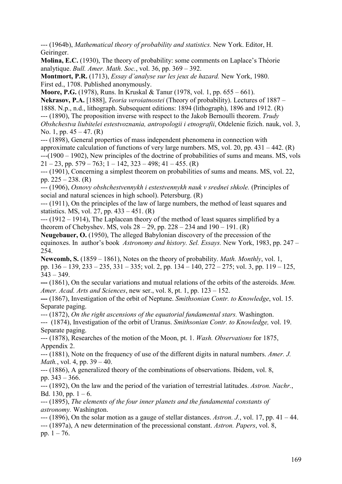--- (1964b), *Mathematical theory of probability and statistics.* New York. Editor, H. Geiringer.

**Molina, E.C.** (1930), The theory of probability: some comments on Laplace's Théorie analytique. *Bull. Amer. Math. Soc.*, vol. 36, pp. 369 – 392.

**Montmort, P.R.** (1713), *Essay d'analyse sur les jeux de hazard.* New York, 1980. First ed., 1708. Published anonymously.

**Moore, P.G.** (1978), Runs. In Kruskal & Tanur (1978, vol. 1, pp. 655 – 661).

**Nekrasov, P.A.** [1888], *Teoria veroiatnostei* (Theory of probability). Lectures of 1887 – 1888. N.p., n.d., lithograph. Subsequent editions: 1894 (lithograph), 1896 and 1912. (R) --- (1890), The proposition inverse with respect to the Jakob Bernoulli theorem. *Trudy Obshchestva liubitelei estestvoznania, antropologii i etnografii*, Otdelenie fizich. nauk, vol. 3, No. 1, pp. 45 – 47. (R)

--- (1898), General properties of mass independent phenomena in connection with approximate calculation of functions of very large numbers. MS, vol. 20, pp.  $431 - 442$ . (R)  $-(-1900 - 1902)$ , New principles of the doctrine of probabilities of sums and means. MS, vols  $21 - 23$ , pp.  $579 - 763$ ; 1 – 142,  $323 - 498$ ; 41 – 455. (R)

--- (1901), Concerning a simplest theorem on probabilities of sums and means. MS, vol. 22, pp. 225 – 238. (R)

--- (1906), *Osnovy obshchestvennykh i estestvennykh nauk v srednei shkole.* (Principles of social and natural sciences in high school). Petersburg. (R)

--- (1911), On the principles of the law of large numbers, the method of least squares and statistics. MS, vol. 27, pp.  $433 - 451$ . (R)

--- (1912 – 1914), The Laplacean theory of the method of least squares simplified by a theorem of Chebyshev. MS, vols  $28 - 29$ , pp.  $228 - 234$  and  $190 - 191$ . (R)

**Neugebauer, O.** (1950), The alleged Babylonian discovery of the precession of the equinoxes. In author's book *Astronomy and history. Sel. Essays.* New York, 1983, pp. 247 – 254.

**Newcomb, S.** (1859 – 1861), Notes on the theory of probability. *Math. Monthly*, vol. 1, pp. 136 – 139, 233 – 235, 331 – 335; vol. 2, pp. 134 – 140, 272 – 275; vol. 3, pp. 119 – 125,  $343 - 349$ .

**---** (1861), On the secular variations and mutual relations of the orbits of the asteroids. *Mem. Amer. Acad. Arts and Sciences*, new ser., vol. 8, pt. 1, pp. 123 – 152.

**---** (1867), Investigation of the orbit of Neptune. *Smithsonian Contr. to Knowledge*, vol. 15. Separate paging.

--- (1872), *On the right ascensions of the equatorial fundamental stars.* Washington.

--- (1874), Investigation of the orbit of Uranus. *Smithsonian Contr. to Knowledge,* vol. 19. Separate paging.

--- (1878), Researches of the motion of the Moon, pt. 1. *Wash. Observations* for 1875, Appendix 2.

--- (1881), Note on the frequency of use of the different digits in natural numbers. *Amer. J. Math.*, vol. 4, pp. 39 – 40.

--- (1886), A generalized theory of the combinations of observations. Ibidem, vol. 8, pp. 343 – 366.

--- (1892), On the law and the period of the variation of terrestrial latitudes. *Astron. Nachr.*, Bd. 130, pp.  $1 - 6$ .

--- (1895), *The elements of the four inner planets and the fundamental constants of astronomy.* Washington.

--- (1896), On the solar motion as a gauge of stellar distances. *Astron. J.*, vol. 17, pp. 41 – 44. --- (1897a), A new determination of the precessional constant. *Astron. Papers*, vol. 8, pp.  $1 - 76$ .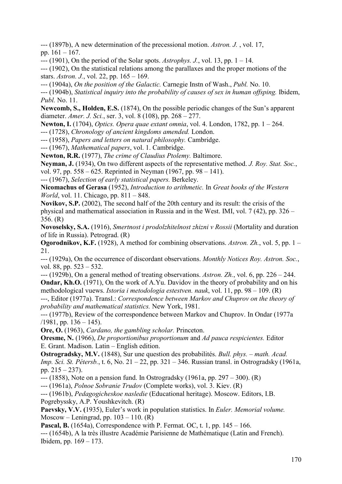--- (1897b), A new determination of the precessional motion. *Astron. J.* , vol. 17, pp. 161 – 167.

--- (1901), On the period of the Solar spots. *Astrophys. J.*, vol. 13, pp. 1 – 14.

--- (1902), On the statistical relations among the parallaxes and the proper motions of the stars. *Astron. J.*, vol. 22, pp. 165 – 169.

--- (1904a), *On the position of the Galactic.* Carnegie Instn of Wash., *Publ.* No. 10.

--- (1904b), *Statistical inquiry into the probability of causes of sex in human offsping.* Ibidem, *Publ.* No. 11.

**Newcomb, S., Holden, E.S.** (1874), On the possible periodic changes of the Sun's apparent diameter. *Amer. J. Sci.*, ser. 3, vol. 8 (108), pp. 268 – 277.

**Newton, I.** (1704), *Optics. Opera quae extant omnia*, vol. 4. London, 1782, pp. 1 – 264.

--- (1728), *Chronology of ancient kingdoms amended.* London.

--- (1958), *Papers and letters on natural philosophy.* Cambridge.

--- (1967), *Mathematical papers*, vol. 1. Cambridge.

**Newton, R.R.** (1977), *The crime of Claudius Ptolemy.* Baltimore.

**Neyman, J.** (1934), On two different aspects of the representative method. *J. Roy. Stat. Soc.*, vol. 97, pp. 558 – 625. Reprinted in Neyman (1967, pp. 98 – 141).

--- (1967), *Selection of early statistical papers.* Berkeley.

**Nicomachus of Gerasa** (1952), *Introduction to arithmetic.* In *Great books of the Western World*, vol. 11. Chicago, pp. 811 – 848.

**Novikov, S.P.** (2002), The second half of the 20th century and its result: the crisis of the physical and mathematical association in Russia and in the West. IMI, vol. 7 (42), pp. 326 – 356. (R)

**Novoselsky, S.A.** (1916), *Smertnost i prodolzhitelnost zhizni v Rossii* (Mortality and duration of life in Russia). Petrograd. (R)

**Ogorodnikov, K.F.** (1928), A method for combining observations. *Astron. Zh.*, vol. 5, pp. 1 – 21.

--- (1929а), On the occurrence of discordant observations. *Monthly Notices Roy. Astron. Soc.*, vol. 88, pp. 523 – 532.

--- (1929b), On a general method of treating observations. *Astron. Zh.*, vol. 6, pp. 226 – 244. **Ondar, Kh.O.** (1971), On the work of A.Yu. Davidov in the theory of probability and on his methodological vuews. *Istoria i metodologia estestven. nauk*, vol. 11, pp. 98 – 109. (R)

---, Editor (1977a). Transl.: *Correspondence between Markov and Chuprov on the theory of probability and mathematical statistics.* New York, 1981.

--- (1977b), Review of the correspondence between Markov and Chuprov. In Ondar (1977a  $(1981, pp. 136 - 145).$ 

**Ore, O.** (1963), *Cardano, the gambling scholar.* Princeton.

**Oresme, N.** (1966), *De proportionibus proportionum* and *Ad pauca respicientes.* Editor E. Grant. Madison. Latin – English edition.

**Ostrogradsky, M.V.** (1848), Sur une question des probabilités. *Bull. phys. – math. Acad. Imp. Sci. St. Pétersb.*, t. 6, No. 21 – 22, pp. 321 – 346. Russian transl. in Ostrogradsky (1961a, pp. 215 – 237).

--- (1858), Note on a pension fund. In Ostrogradsky (1961a, pp. 297 – 300). (R)

--- (1961a), *Polnoe Sobranie Trudov* (Complete works), vol. 3. Kiev. (R)

--- (1961b), *Pedagogicheskoe nasledie* (Educational heritage). Moscow. Editors, I.B. Pogrebyssky, A.P. Youshkevitch. (R)

**Paevsky, V.V. (**1935), Euler's work in population statistics. In *Euler. Memorial volume.* Moscow – Leningrad, pp.  $103 - 110$ . (R)

**Pascal, B.** (1654a), Correspondence with P. Fermat. OC, t. 1, pp. 145 – 166.

--- (1654b), A la très illustre Académie Parisienne de Mathématique (Latin and French). Ibidem, pp. 169 – 173.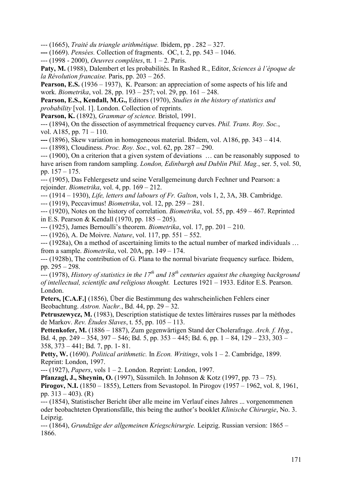--- (1665), *Traité du triangle arithmétique.* Ibidem, pp . 282 – 327.

**---** (1669). *Pensées.* Collection of fragments.OC, t. 2, pp. 543 – 1046.

--- (1998 - 2000), *Oeuvres complètes*, tt. 1 – 2. Paris.

**Paty, M.** (1988), Dalembert et les probabilités. In Rashed R., Editor, *Sciences à l'époque de la Révolution francaise.* Paris, pp. 203 – 265.

**Pearson, E.S.** (1936 – 1937), K. Pearson: an appreciation of some aspects of his life and work. *Biometrika*, vol. 28, pp. 193 – 257; vol. 29, pp. 161 – 248.

**Pearson, E.S., Kendall, M.G.,** Editors (1970), *Studies in the history of statistics and probability* [vol. 1]. London. Collection of reprints.

**Pearson, K.** (1892), *Grammar of science.* Bristol, 1991.

--- (1894), On the dissection of asymmetrical frequency curves. *Phil. Trans. Roy. Soc.*, vol. A185, pp. 71 – 110.

**---** (1896), Skew variation in homogeneous material. Ibidem, vol. A186, pp. 343 – 414.

--- (1898), Cloudiness. *Proc. Roy. Soc.*, vol. 62, pp. 287 – 290.

--- (1900), On a criterion that a given system of deviations … can be reasonably supposed to have arisen from random sampling. *London, Edinburgh and Dublin Phil. Mag.*, ser. 5, vol. 50, pp. 157 – 175.

--- (1905), Das Fehlergesetz und seine Verallgemeinung durch Fechner und Pearson: a rejoinder. *Biometrika*, vol. 4, pp. 169 – 212.

--- (1914 – 1930), *Life, letters and labours of Fr. Galton*, vols 1, 2, 3A, 3B. Cambridge.

--- (1919), Peccavimus! *Biometrika*, vol. 12, pp. 259 – 281.

--- (1920), Notes on the history of correlation. *Biometrika*, vol. 55, pp. 459 – 467. Reprinted in E.S. Pearson & Kendall (1970, pp. 185 – 205).

--- (1925), James Bernoulli's theorem. *Biometrika*, vol. 17, pp. 201 – 210.

--- (1926), A. De Moivre. *Nature*, vol. 117, pp. 551 – 552.

--- (1928a), On a method of ascertaining limits to the actual number of marked individuals … from a sample. *Biometrika*, vol. 20A, pp. 149 – 174.

--- (1928b), The contribution of G. Plana to the normal bivariate frequency surface. Ibidem, pp. 295 – 298.

<sup>11</sup><br>--- (1978), *History of statistics in the 17<sup>th</sup> and 18<sup>th</sup> centuries against the changing background of intellectual, scientific and religious thought.* Lectures 1921 – 1933. Editor E.S. Pearson. London.

**Peters, [C.A.F.]** (1856), Über die Bestimmung des wahrscheinlichen Fehlers einer Beobachtung. *Astron. Nachr.*, Bd. 44, pp. 29 – 32.

**Petruszewycz, M.** (1983), Description statistique de textes littéraires russes par la méthodes de Markov. *Rev. Études Slaves*, t. 55, pp. 105 – 113.

**Pettenkofer, M.** (1886 – 1887), Zum gegenwärtigen Stand der Cholerafrage. *Arch. f. Hyg.*, Bd. 4, pp. 249 – 354, 397 – 546; Bd. 5, pp. 353 – 445; Bd. 6, pp. 1 – 84, 129 – 233, 303 – 358, 373 – 441; Bd. 7, pp. 1- 81.

**Petty, W.** (1690). *Political arithmetic.* In *Econ. Writings*, vols 1 – 2. Cambridge, 1899. Reprint: London, 1997.

--- (1927), *Papers*, vols 1 – 2. London. Reprint: London, 1997.

**Pfanzagl, J., Sheynin, O.** (1997), Süssmilch. In Johnson & Kotz (1997, pp. 73 – 75).

**Pirogov, N.I.** (1850 – 1855), Letters from Sevastopol. In Pirogov (1957 – 1962, vol. 8, 1961, pp.  $313 - 403$ ). (R)

--- (1854), Statistischer Bericht über alle meine im Verlauf eines Jahres ... vorgenommenen oder beobachteten Oprationsfälle, this being the author's booklet *Klinische Chirurgie*, No. 3. Leipzig.

--- (1864), *Grundzüge der allgemeinen Kriegschirurgie.* Leipzig. Russian version: 1865 – 1866.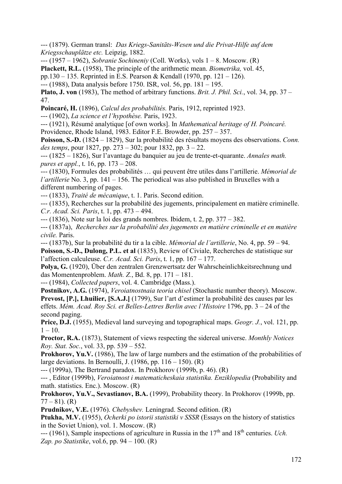--- (1879). German transl: *Das Kriegs-Sanitäts-Wesen und die Privat-Hilfe auf dem Kriegsschauplätze etc.* Leipzig, 1882.

--- (1957 – 1962), *Sobranie Sochineniy* (Coll. Works), vols 1 – 8. Moscow. (R)

**Plackett, R.L.** (1958), The principle of the arithmetic mean. *Biometrika,* vol. 45,

pp.130 – 135. Reprinted in E.S. Pearson & Kendall (1970, pp. 121 – 126).

--- (1988), Data analysis before 1750. ISR, vol. 56, pp. 181 – 195.

**Plato, J. von** (1983), The method of arbitrary functions. *Brit. J. Phil. Sci.*, vol. 34, pp. 37 – 47.

**Poincaré, H.** (1896), *Calcul des probabilités.* Paris, 1912, reprinted 1923.

--- (1902), *La science et l'hypothèse.* Paris, 1923.

--- (1921), Résumé analytique [of own works]. In *Mathematical heritage of H. Poincaré.*  Providence, Rhode Island, 1983. Editor F.E. Browder, pp. 257 – 357.

**Poisson, S.-D.** (1824 – 1829), Sur la probabilité des résultats moyens des observations. *Conn. des temps*, pour 1827, pp. 273 – 302; pour 1832, pp. 3 – 22.

--- (1825 – 1826), Sur l'avantage du banquier au jeu de trente-et-quarante. *Annales math. pures et appl.*, t. 16, pp. 173 – 208.

--- (1830), Formules des probabilités … qui peuvent être utiles dans l'artillerie. *Mémorial de l'artillerie* No. 3, pp. 141 – 156. The periodical was also published in Bruxelles with a different numbering of pages.

--- (1833), *Traité de mécanique*, t. 1. Paris. Second edition.

--- (1835), Recherches sur la probabilité des jugements, principalement en matière criminelle. *C.r. Acad. Sci. Paris*, t. 1, pp. 473 – 494.

--- (1836), Note sur la loi des grands nombres. Ibidem, t. 2, pp. 377 – 382.

--- (1837a), *Recherches sur la probabilité des jugements en matière criminelle et en matière civile.* Paris.

--- (1837b), Sur la probabilité du tir a la cible. *Mémorial de l'artillerie*, No. 4, pp. 59 – 94. **Poisson, S.-D., Dulong, P.L. et al** (1835), Review of Civiale, Recherches de statistique sur l'affection calculeuse. *C.r. Acad. Sci. Paris*, t. 1, pp. 167 – 177.

**Polya, G.** (1920), Über den zentralen Grenzwertsatz der Wahrscheinlichkeitsrechnung und das Momentenproblem. *Math. Z.*, Bd. 8, pp. 171 – 181.

--- (1984), *Collected papers*, vol. 4. Cambridge (Mass.).

**Postnikov, A.G.** (1974), *Veroiatnostnaia teoria chisel* (Stochastic number theory). Moscow. **Prevost, [P.], Lhuilier, [S.A.J.]** (1799), Sur l'art d'estimer la probabilité des causes par les effets. *Mém. Acad. Roy Sci. et Belles-Lettres Berlin avec l'Histoire* 1796, pp. 3 – 24 of the second paging.

**Price, D.J.** (1955), Medieval land surveying and topographical maps. *Geogr. J.*, vol. 121, pp.  $1 - 10$ .

**Proctor, R.A.** (1873), Statement of views respecting the sidereal universe. *Monthly Notices Roy. Stat. Soc.*, vol. 33, pp. 539 – 552.

**Prokhorov, Yu.V.** (1986), The law of large numbers and the estimation of the probabilities of large deviations. In Bernoulli, J.  $(1986, pp. 116 - 150)$ .  $(R)$ 

--- (1999a), The Bertrand paradox. In Prokhorov (1999b, p. 46). (R)

--- , Editor (1999b), *Veroiatnost i matematicheskaia statistika. Enziklopedia* (Probability and math. statistics. Enc.). Moscow. (R)

**Prokhorov, Yu.V., Sevastianov, B.A.** (1999), Probability theory. In Prokhorov (1999b, pp.  $77 - 81$ ). (R)

**Prudnikov, V.E.** (1976). *Chebyshev.* Leningrad. Second edition. (R)

**Ptukha, M.V.** (1955), *Ocherki po istorii statistiki v SSSR* (Essays on the history of statistics in the Soviet Union), vol. 1. Moscow. (R)

--- (1961), Sample inspections of agriculture in Russia in the 17<sup>th</sup> and 18<sup>th</sup> centuries. *Uch. Zap. po Statistike*, vol.6, pp. 94 – 100. (R)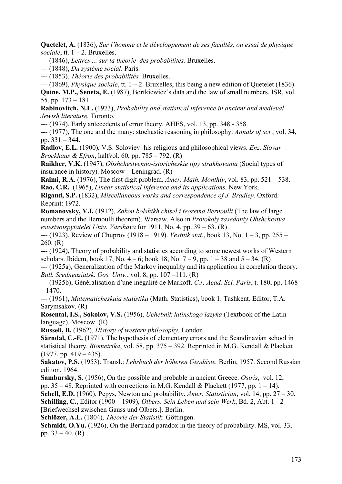**Quetelet, A.** (1836), *Sur l'homme et le développement de ses facultés, ou essai de physique sociale*, tt.  $1 - 2$ . Bruxelles.

--- (1846), *Lettres ... sur la théorie des probabilités.* Bruxelles.

--- (1848), *Du système social*. Paris.

--- (1853), *Théorie des probabilités.* Bruxelles.

*---* (1869), *Physique sociale*, tt. 1 – 2. Bruxelles, this being a new edition of Quetelet (1836).

**Quine, M.P., Seneta, E.** (1987), Bortkiewicz's data and the law of small numbers. ISR, vol. 55, pp. 173 – 181.

**Rabinovitch, N.L.** (1973), *Probability and statistical inference in ancient and medieval Jewish literature.* Toronto.

--- (1974), Early antecedents of error theory. AHES, vol. 13, pp. 348 - 358.

--- (1977), The one and the many: stochastic reasoning in philosophy. *Annals of sci.*, vol. 34, pp. 331 – 344.

**Radlov, E.L.** (1900), V.S. Soloviev: his religious and philosophical views. *Enz. Slovar Brockhaus & Efron*, halfvol. 60, pp. 785 – 792. (R)

**Raikher, V.K.** (1947), *Obshchestvenno-istoricheskie tipy strakhovania* (Social types of insurance in history). Moscow – Leningrad. (R)

**Raimi, R.A.** (1976), The first digit problem. *Amer. Math. Monthly*, vol. 83, pp. 521 – 538. **Rao, C.R.** (1965), *Linear statistical inference and its applications.* New York.

**Rigaud, S.P.** (1832), *Miscellaneous works and correspondence of J. Bradley.* Oxford. Reprint: 1972.

**Romanovsky, V.I.** (1912), *Zakon bolshikh chisel i teorema Bernoulli* (The law of large numbers and the Bernoulli theorem). Warsaw. Also in *Protokoly zasedaniy Obshchestva estestvoispytatelei Univ. Varshava* for 1911, No. 4, pp. 39 – 63. (R)

--- (1923), Review of Chuprov (1918 – 1919). *Vestnik stat.*, book 13, No. 1 – 3, pp. 255 – 260. (R)

--- (1924), Theory of probability and statistics according to some newest works of Western scholars. Ibidem, book 17, No.  $4 - 6$ ; book 18, No.  $7 - 9$ , pp.  $1 - 38$  and  $5 - 34$ . (R)

--- (1925a), Generalization of the Markov inequality and its application in correlation theory. *Bull. Sredneaziatsk. Gos. Univ.*, vol. 8, pp. 107 –111. (R)

--- (1925b), Généralisation d'une inégalité de Markoff. *C.r. Acad. Sci. Paris*, t. 180, pp. 1468  $-1470$ 

--- (1961), *Matematicheskaia statistika* (Math. Statistics), book 1. Tashkent. Editor, T.A. Sarymsakov. (R)

**Rosental, I.S., Sokolov, V.S.** (1956), *Uchebnik latinskogo iazyka* (Textbook of the Latin language). Moscow. (R)

**Russell, B.** (1962), *History of western philosophy.* London.

**Särndal, C.-E.** (1971), The hypothesis of elementary errors and the Scandinavian school in statistical theory. *Biometrika*, vol. 58, pp. 375 – 392. Reprinted in M.G. Kendall & Plackett  $(1977, pp. 419 - 435).$ 

**Sakatov, P.S.** (1953). Transl.: *Lehrbuch der höheren Geodäsie.* Berlin, 1957. Second Russian edition, 1964.

**Sambursky, S.** (1956), On the possible and probable in ancient Greece. *Osiris*, vol. 12, pp.  $35 - 48$ . Reprinted with corrections in M.G. Kendall & Plackett (1977, pp. 1 – 14).

**Schell, E.D.** (1960), Pepys, Newton and probability. *Amer. Statistician*, vol. 14, pp. 27 – 30.

**Schilling, C.**, Editor (1900 – 1909), *Olbers. Sein Leben und sein Werk*, Bd. 2, Abt. 1 - 2 [Briefwechsel zwischen Gauss und Olbers.]. Berlin.

**Schlözer, A.L.** (1804), *Theorie der Statistik.* Göttingen.

**Schmidt, O.Yu.** (1926), On the Bertrand paradox in the theory of probability. MS, vol. 33, pp.  $33 - 40$ . (R)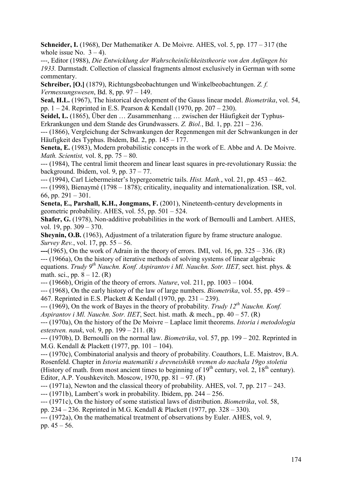**Schneider, I.** (1968), Der Mathematiker A. De Moivre. AHES, vol. 5, pp. 177 – 317 (the whole issue No.  $3 - 4$ ).

---, Editor (1988), *Die Entwicklung der Wahrscheinlichkeitstheorie von den Anfängen bis 1933.* Darmstadt. Collection of classical fragments almost exclusively in German with some commentary.

**Schreiber, [O.]** (1879), Richtungsbeobachtungen und Winkelbeobachtungen. *Z. f. Vermessungswesen*, Bd. 8, pp. 97 – 149.

**Seal, H.L.** (1967), The historical development of the Gauss linear model. *Biometrika*, vol. 54, pp. 1 – 24. Reprinted in E.S. Pearson & Kendall (1970, pp. 207 – 230).

**Seidel, L.** (1865), Über den … Zusammenhang … zwischen der Häufigkeit der Typhus-Erkrankungen und dem Stande des Grundwassers. *Z. Biol.*, Bd. 1, pp. 221 – 236.

--- (1866), Vergleichung der Schwankungen der Regenmengen mit der Schwankungen in der Häufigkeit des Typhus. Ibidem, Bd. 2, pp. 145 – 177.

Seneta, E. (1983), Modern probabilistic concepts in the work of E. Abbe and A. De Moivre. *Math. Scientist,* vol. 8, pp. 75 – 80.

--- (1984), The central limit theorem and linear least squares in pre-revolutionary Russia: the background. Ibidem, vol. 9, pp.  $37 - 77$ .

--- (1994), Carl Liebermeister's hypergeometric tails. *Hist. Math.*, vol. 21, pp. 453 – 462.

--- (1998), Bienaymé (1798 – 1878); criticality, inequality and internationalization. ISR, vol. 66, pp. 291 – 301.

**Seneta, E., Parshall, K.H., Jongmans, F.** (2001), Nineteenth-century developments in geometric probability. AHES, vol. 55, pp.  $501 - 524$ .

**Shafer, G.** (1978), Non-additive probabilities in the work of Bernoulli and Lambert. AHES, vol. 19, pp. 309 – 370.

**Sheynin, O.B.** (1963), Adjustment of a trilateration figure by frame structure analogue. *Survey Rev.*, vol. 17, pp. 55 – 56.

**---**(1965), On the work of Adrain in the theory of errors. IMI, vol. 16, pp. 325 – 336. (R) --- (1966а), On the history of iterative methods of solving systems of linear algebraic equations. *Trudy 9th Nauchn. Konf. Aspirantov i Ml. Nauchn. Sotr. IIET,* sect. hist. phys. & math. sci., pp.  $8 - 12$ . (R)

--- (1966b), Origin of the theory of errors. *Nature*, vol. 211, pp. 1003 – 1004.

--- (1968), On the early history of the law of large numbers. *Biometrika*, vol. 55, pp. 459 – 467. Reprinted in E.S. Plackett & Kendall (1970, pp. 231 – 239).

--- (1969), On the work of Bayes in the theory of probability. *Trudy 12th Nauchn. Konf. Aspirantov i Ml. Nauchn. Sotr. IIET*, Sect. hist. math. & mech., pp. 40 – 57. (R)

--- (1970а), On the history of the De Moivre – Laplace limit theorems. *Istoria i metodologia estestven. nauk*, vol. 9, pp. 199 – 211. (R)

--- (1970b), D. Bernoulli on the normal law. *Biometrika*, vol. 57, pp. 199 – 202. Reprinted in M.G. Kendall & Plackett (1977, pp. 101 – 104).

--- (1970с), Combinatorial analysis and theory of probability. Coauthors, L.E. Maistrov, B.A. Rosenfeld. Chapter in *Istoria matematiki s drevneishikh vremen do nachala 19go stoletia* (History of math. from most ancient times to beginning of  $19<sup>th</sup>$  century, vol. 2,  $18<sup>th</sup>$  century). Editor, A.P. Youshkevitch. Moscow, 1970, pp.  $81 - 97$ . (R)

 $-(-1971a)$ , Newton and the classical theory of probability. AHES, vol. 7, pp. 217 – 243.

--- (1971b), Lambert's work in probability. Ibidem, pp. 244 – 256.

--- (1971c), On the history of some statistical laws of distribution. *Biometrika*, vol. 58,

pp. 234 – 236. Reprinted in M.G. Kendall & Plackett (1977, pp. 328 – 330).

--- (1972a), On the mathematical treatment of observations by Euler. AHES, vol. 9, pp.  $45 - 56$ .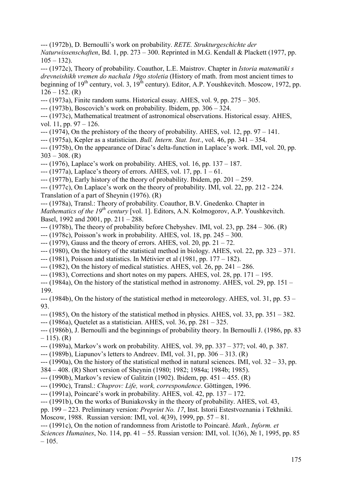--- (1972b), D. Bernoulli's work on probability. *RETE. Strukturgeschichte der* 

*Naturwissenschaften*, Bd. 1, pp. 273 – 300. Reprinted in M.G. Kendall & Plackett (1977, pp.  $105 - 132$ ).

--- (1972с), Theory of probability. Coauthor, L.E. Maistrov. Chapter in *Istoria matematiki s drevneishikh vremen do nachala 19go stoletia* (History of math. from most ancient times to beginning of  $19<sup>th</sup>$  century, vol. 3,  $19<sup>th</sup>$  century). Editor, A.P. Youshkevitch. Moscow, 1972, pp.  $126 - 152$ . (R)

 $-$ -- $(1973a)$ , Finite random sums. Historical essay. AHES, vol. 9, pp. 275 – 305.

--- (1973b), Boscovich's work on probability. Ibidem, pp. 306 – 324.

--- (1973c), Mathematical treatment of astronomical observations. Historical essay. AHES, vol. 11, pp. 97 – 126.

 $-(-1974)$ , On the prehistory of the theory of probability. AHES, vol. 12, pp. 97 – 141.

--- (1975a), Kepler as a statistician. *Bull. Intern. Stat. Inst.*, vol. 46, pp. 341 – 354.

--- (1975b), On the appearance of Dirac's delta-function in Laplace's work. IMI, vol. 20, pp.  $303 - 308$ . (R)

--- (1976), Laplace's work on probability. AHES, vol. 16, pp. 137 – 187.

 $-(-1977a)$ , Laplace's theory of errors. AHES, vol. 17, pp. 1 – 61.

 $-(-1977b)$ , Early history of the theory of probability. Ibidem, pp. 201 – 259.

--- (1977c), On Laplace's work on the theory of probability. IMI, vol. 22, pp. 212 - 224. Translation of a part of Sheynin (1976). (R)

--- (1978а), Transl.: Theory of probability. Coauthor, B.V. Gnedenko. Chapter in *Mathematics of the 19<sup>th</sup> century* [vol. 1]. Editors, A.N. Kolmogorov, A.P. Youshkevitch. Basel, 1992 and 2001, pp. 211 – 288.

 $-$ --(1978b), The theory of probability before Chebyshev. IMI, vol. 23, pp. 284 – 306. (R)

--- (1978c), Poisson's work in probability. AHES, vol. 18, pp. 245 – 300.

 $-(-1979)$ , Gauss and the theory of errors. AHES, vol. 20, pp. 21 – 72.

- $-$ --(1980), On the history of the statistical method in biology. AHES, vol. 22, pp. 323 371.
- --- (1981), Poisson and statistics. In Métivier et al (1981, pp. 177 182).

 $-$ -- $(1982)$ , On the history of medical statistics. AHES, vol. 26, pp. 241 – 286.

- $-$ -- $(1983)$ , Corrections and short notes on my papers. AHES, vol. 28, pp. 171 195.
- --- (1984a), On the history of the statistical method in astronomy. AHES, vol. 29, pp. 151 199.

--- (1984b), On the history of the statistical method in meteorology. AHES, vol. 31, pp. 53 – 93.

--- (1985), On the history of the statistical method in physics. AHES, vol. 33, pp. 351 – 382.

--- (1986a), Quetelet as a statistician. AHES, vol. 36, pp. 281 – 325.

--- (1986b), J. Bernoulli and the beginnings of probability theory. In Bernoulli J. (1986, pp. 83  $-115$ ). (R)

--- (1989a), Markov's work on probability. AHES, vol. 39, pp. 337 – 377; vol. 40, p. 387.

--- (1989b), Liapunov's letters to Andreev. IMI, vol. 31, pp. 306 – 313. (R)

--- (1990а), On the history of the statistical method in natural sciences. IMI, vol. 32 – 33, pp.

384 – 408. (R) Short version of Sheynin (1980; 1982; 1984а; 1984b; 1985).

- --- (1990b), Markov's review of Galitzin (1902). Ibidem, pp. 451 455. (R)
- --- (1990с), Transl.: *Chuprov: Life, work, correspondence*. Göttingen, 1996.
- --- (1991a), Poincaré's work in probability. AHES, vol. 42, pp. 137 172.
- --- (1991b), On the works of Buniakovsky in the theory of probability. AHES, vol. 43,

pp. 199 – 223. Preliminary version: *Preprint No. 17*, Inst. Istorii Estestvoznania i Tekhniki.

Moscow, 1988. Russian version: IMI, vol. 4(39), 1999, pp. 57 – 81.

--- (1991c), On the notion of randomness from Aristotle to Poincaré. *Math., Inform. et* 

*Sciences Humaines*, No. 114, pp. 41 – 55. Russian version: IMI, vol. 1(36), № 1, 1995, pp. 85  $-105.$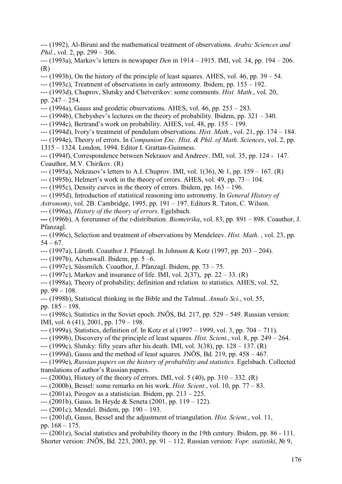- --- (1992), Al-Biruni and the mathematical treatment of observations. *Arabic Sciences and Phil.*, vol. 2, pp. 299 – 306.
- --- (1993а), Markov's letters in newspaper *Den* in 1914 1915. IMI, vol. 34, pp. 194 206. (R)
- $-$ -- $(1993b)$ , On the history of the principle of least squares. AHES, vol. 46, pp. 39 54.
- --- (1993c), Treatment of observations in early astronomy. Ibidem, pp. 153 192.
- --- (1993d), Chuprov, Slutsky and Chetverikov: some comments. *Hist. Math.*, vol. 20, pp. 247 – 254.
- --- (1994a), Gauss and geodetic observations. AHES, vol. 46, pp. 253 283.
- --- (1994b), Chebyshev's lectures on the theory of probability. Ibidem, pp. 321 340.
- --- (1994c), Bertrand's work on probability. AHES, vol. 48, pp. 155 199.
- --- (1994d), Ivory's treatment of pendulum observations. *Hist. Math.*, vol. 21, pp. 174 184.
- --- (1994e), Theory of errors. In *Companion Enc. Hist. & Phil. of Math. Sciences*, vol. 2, pp.
- 1315 1324. London, 1994. Editor I. Grattan-Guinness.
- --- (1994f), Correspondence between Nekrasov and Andreev. IMI, vol. 35, pp. 124 147. Coauthor, M.V. Chirikov. (R)
- --- (1995a), Nekrasov's letters to A.I. Chuprov. IMI, vol. 1(36),  $\mathcal{N}_2$  1, pp. 159 167. (R)
- $-$ -- $(1995b)$ , Helmert's work in the theory of errors. AHES, vol. 49, pp. 73 104.
- $-$ -- $(1995c)$ , Density curves in the theory of errors. Ibidem, pp. 163 196.
- --- (1995d), Introduction of statistical reasoning into astronomy. In *General History of*
- *Astronomy*, vol. 2B. Cambridge, 1995, pp. 191 197. Editors R. Taton, C. Wilson.
- --- (1996a), *History of the theory of errors.* Egelsbach.

**---** (1996b), A forerunner of the *t*-distribution. *Biometrika*, vol. 83, pp. 891 – 898. Coauthor, J. Pfanzagl.

- --- (1996c), Selection and treatment of observations by Mendeleev. *Hist. Math.* , vol. 23, pp.  $54 - 67$ .
- --- (1997a), Lüroth. Coauthor J. Pfanzagl. In Johnson & Kotz (1997, pp. 203 204).
- --- (1997b), Achenwall. Ibidem, pp. 5 –6.
- --- (1997c), Süssmilch. Coauthor, J. Pfanzagl. Ibidem, pp. 73 75.
- $-$ -- $(1997c)$ , Markov and insurance of life. IMI, vol. 2(37), pp. 22 33. (R)
- --- (1998a), Theory of probability; definition and relation to statistics. AHES, vol. 52, pp. 99 – 108.
- --- (1998b), Statistical thinking in the Bible and the Talmud. *Annals Sci.*, vol. 55, pp. 185 – 198.
- --- (1998c), Statistics in the Soviet epoch. JNÖS, Bd. 217, pp. 529 549. Russian version: IMI, vol. 6 (41), 2001, pp. 179 – 198.
- --- (1999a), Statistics, definition of. In Kotz et al (1997 1999, vol. 3, pp. 704 711).
- --- (1999b), Discovery of the principle of least squares. *Hist. Scient.*, vol. 8, pp. 249 264.
- --- (1999с), Slutsky: fifty years after his death. IMI, vol. 3(38), pp. 128 137. (R)
- --- (1999d), Gauss and the method of least squares. JNÖS, Bd. 219, pp. 458 467.
- --- (1999е), *Russian papers on the history of probability and statistics.* Egelsbach. Collected translations of author's Russian papers.
- $-(-2000a)$ , History of the theory of errors. IMI, vol. 5 (40), pp. 310 332. (R)
- --- (2000b), Bessel: some remarks on his work. *Hist. Scient.*, vol. 10, pp. 77 83.
- --- (2001a), Pirogov as a statistician. Ibidem, pp. 213 225.
- --- (2001b), Gauss. In Heyde & Seneta (2001, pp. 119 122).
- --- (2001c), Mendel. Ibidem, pp. 190 193.
- --- (2001d), Gauss, Bessel and the adjustment of triangulation. *Hist. Scient.*, vol. 11, pp. 168 – 175.
- --- (2001e), Social statistics and probability theory in the 19th century. Ibidem, pp. 86 111. Shorter version: JNÖS, Bd. 223, 2003, pp. 91 – 112. Russian version: *Vopr. statistiki*, № 9,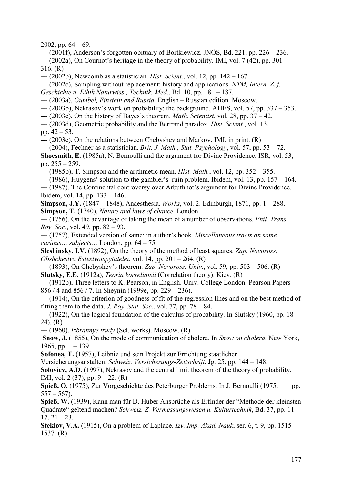2002, pp.  $64 - 69$ .

--- (2001f), Anderson's forgotten obituary of Bortkiewicz. JNÖS, Bd. 221, pp. 226 – 236.  $-(-2002a)$ , On Cournot's heritage in the theory of probability. IMI, vol. 7 (42), pp. 301 – 316. (R)

--- (2002b), Newcomb as a statistician. *Hist. Scient.*, vol. 12, pp. 142 – 167.

--- (2002c), Sampling without replacement: history and applications. *NTM, Intern. Z. f.* 

*Geschichte u. Ethik Naturwiss., Technik, Med.*, Bd. 10, pp. 181 – 187.

--- (2003a), *Gumbel, Einstein and Russia.* English – Russian edition. Moscow.

--- (2003b), Nekrasov's work on probability: the background. AHES, vol. 57, pp. 337 – 353.

--- (2003c), On the history of Bayes's theorem. *Math. Scientist*, vol. 28, pp. 37 – 42.

--- (2003d), Geometric probability and the Bertrand paradox. *Hist. Scient.*, vol. 13,

pp.  $42 - 53$ .

--- (2003e), On the relations between Chebyshev and Markov. IMI, in print. (R)

---(2004), Fechner as a statistician. *Brit. J. Math., Stat. Psychology*, vol. 57, pp. 53 – 72. **Shoesmith, E.** (1985a), N. Bernoulli and the argument for Divine Providence. ISR, vol. 53, pp. 255 – 259.

--- (1985b), T. Simpson and the arithmetic mean. *Hist. Math.*, vol. 12, pp. 352 – 355.

 $-$ --- (1986), Huygens' solution to the gambler's ruin problem. Ibidem, vol. 13, pp. 157 – 164.

--- (1987), The Continental controversy over Arbuthnot's argument for Divine Providence. Ibidem, vol. 14, pp. 133 – 146.

**Simpson, J.Y.** (1847 – 1848), Anaesthesia. *Works*, vol. 2. Edinburgh, 1871, pp. 1 – 288. **Simpson, T.** (1740), *Nature and laws of chance.* London.

--- (1756), On the advantage of taking the mean of a number of observations. *Phil. Trans. Roy. Soc.*, vol. 49, pp. 82 – 93.

--- (1757), Extended version of same: in author's book *Miscellaneous tracts on some curious… subjects…* London, pp. 64 – 75.

**Sleshinsky, I.V.** (1892), On the theory of the method of least squares. *Zap. Novoross. Obshchestva Estestvoispytatelei*, vol. 14, pp. 201 – 264. (R)

--- (1893), On Chebyshev's theorem. *Zap. Novoross. Univ.*, vol. 59, pp. 503 – 506. (R) **Slutsky, E.E.** (1912a), *Teoria korreliatsii* (Correlation theory). Kiev. (R)

--- (1912b), Three letters to K. Pearson, in English. Univ. College London, Pearson Papers 856 / 4 and 856 / 7. In Sheynin (1999e, pp. 229 – 236).

--- (1914), On the criterion of goodness of fit of the regression lines and on the best method of fitting them to the data. *J. Roy. Stat. Soc.*, vol. 77, pp. 78 – 84.

--- (1922), On the logical foundation of the calculus of probability. In Slutsky (1960, pp. 18 – 24). (R)

--- (1960), *Izbrannye trudy* (Sel. works). Moscow. (R)

**Snow, J.** (1855), On the mode of communication of cholera. In *Snow on cholera.* New York, 1965, pp.  $1 - 139$ .

**Sofonea, T.** (1957), Leibniz und sein Projekt zur Errichtung staatlicher

Versicherungsanstalten. *Schweiz. Versicherungs-Zeitschrift*, Jg. 25, pp. 144 – 148.

**Soloviev, A.D.** (1997), Nekrasov and the central limit theorem of the theory of probability. IMI, vol. 2 (37), pp. 9 – 22. (R)

Spieß, O. (1975), Zur Vorgeschichte des Peterburger Problems. In J. Bernoulli (1975, pp.  $557 - 567$ ).

**Spieß, W.** (1939), Kann man für D. Huber Ansprüche als Erfinder der "Methode der kleinsten Quadrate" geltend machen? *Schweiz. Z. Vermessungswesen u. Kulturtechnik*, Bd. 37, pp. 11 –  $17, 21 - 23.$ 

**Steklov, V.A.** (1915), On a problem of Laplace. *Izv. Imp. Akad. Nauk*, ser. 6, t. 9, pp. 1515 – 1537. (R)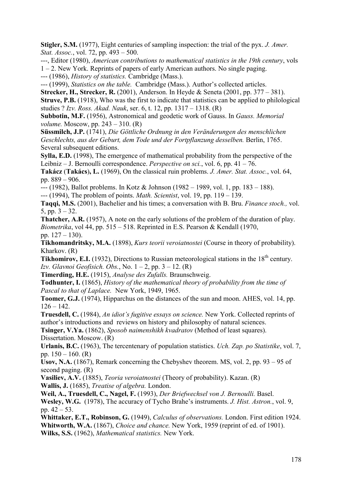**Stigler, S.M.** (1977), Eight centuries of sampling inspection: the trial of the pyx. *J. Amer. Stat. Assoc.*, vol. 72, pp. 493 – 500.

---, Editor (1980), *American contributions to mathematical statistics in the 19th century*, vols

1 – 2. New York. Reprints of papers of early American authors. No single paging.

--- (1986), *History of statistics.* Cambridge (Mass.).

--- (1999), *Statistics on the table.* Cambridge (Mass.). Author's collected articles.

**Strecker, H., Strecker, R.** (2001), Anderson. In Heyde & Seneta (2001, pp. 377 – 381).

**Struve, P.B.** (1918), Who was the first to indicate that statistics can be applied to philological studies ? *Izv. Ross. Akad. Nauk*, ser. 6, t. 12, pp. 1317 – 1318. (R)

**Subbotin, M.F.** (1956), Astronomical and geodetic work of Gauss. In *Gauss. Memorial volume.* Moscow, pp. 243 – 310. (R)

**Süssmilch, J.P.** (1741), *Die Göttliche Ordnung in den Veränderungen des menschlichen Geschlechts, aus der Geburt, dem Tode und der Fortpflanzung desselben.* Berlin, 1765. Several subsequent editions.

**Sylla, E.D.** (1998), The emergence of mathematical probability from the perspective of the Leibniz – J. Bernoulli correspondence. *Perspective on sci.*, vol. 6, pp. 41 – 76.

**Takácz** (**Takács**)**, L.** (1969), On the classical ruin problems. *J. Amer. Stat. Assoc.*, vol. 64, pp. 889 – 906.

--- (1982), Ballot problems. In Kotz & Johnson (1982 – 1989, vol. 1, pp. 183 – 188).

--- (1994), The problem of points. *Math. Scientist*, vol. 19, pp. 119 – 139.

**Taqqi, M.S.** (2001), Bachelier and his times; a conversation with B. Bru. *Finance stoch.,* vol. 5, pp.  $3 - 32$ .

**Thatcher, A.R.** (1957), A note on the early solutions of the problem of the duration of play. *Biometrika*, vol 44, pp. 515 – 518. Reprinted in E.S. Pearson & Kendall (1970, pp. 127 – 130).

**Tikhomandritsky, M.A.** (1898), *Kurs teorii veroiatnostei* (Course in theory of probability). Kharkov. (R)

**Tikhomirov, E.I.** (1932), Directions to Russian meteorological stations in the 18<sup>th</sup> century. *Izv. Glavnoi Geofisich. Obs.*, No. 1 – 2, pp. 3 – 12. (R)

**Timerding, H.E.** (1915), *Analyse des Zufalls.* Braunschweig.

**Todhunter, I.** (1865), *History of the mathematical theory of probability from the time of Pascal to that of Laplace.* New York, 1949, 1965.

**Toomer, G.J.** (1974), Hipparchus on the distances of the sun and moon. AHES, vol. 14, pp.  $126 - 142$ .

**Truesdell, C.** (1984), *An idiot's fugitive essays on science.* New York. Collected reprints of author's introductions and reviews on history and philosophy of natural sciences.

**Tsinger, V.Ya.** (1862), *Sposob naimenshikh kvadratov* (Method of least squares). Dissertation. Moscow. (R)

**Urlanis, B.C.** (1963), The tercentenary of population statistics. *Uch. Zap. po Statistike*, vol. 7, pp.  $150 - 160$ . (R)

**Usov, N.A.** (1867), Remark concerning the Chebyshev theorem. MS, vol. 2, pp. 93 – 95 of second paging. (R)

**Vasiliev, A.V.** (1885), *Teoria veroiatnostei* (Theory of probability). Kazan. (R) **Wallis, J.** (1685), *Treatise of algebra.* London.

**Weil, A., Truesdell, C., Nagel, F.** (1993), *Der Briefwechsel von J. Bernoulli.* Basel. **Wesley, W.G.** (1978), The accuracy of Tycho Brahe's instruments. *J. Hist. Astron.*, vol. 9, pp.  $42 - 53$ .

**Whittaker, E.T., Robinson, G.** (1949), *Calculus of observations.* London. First edition 1924. **Whitworth, W.A.** (1867), *Choice and chance.* New York, 1959 (reprint of ed. of 1901). **Wilks, S.S.** (1962), *Mathematical statistics.* New York.